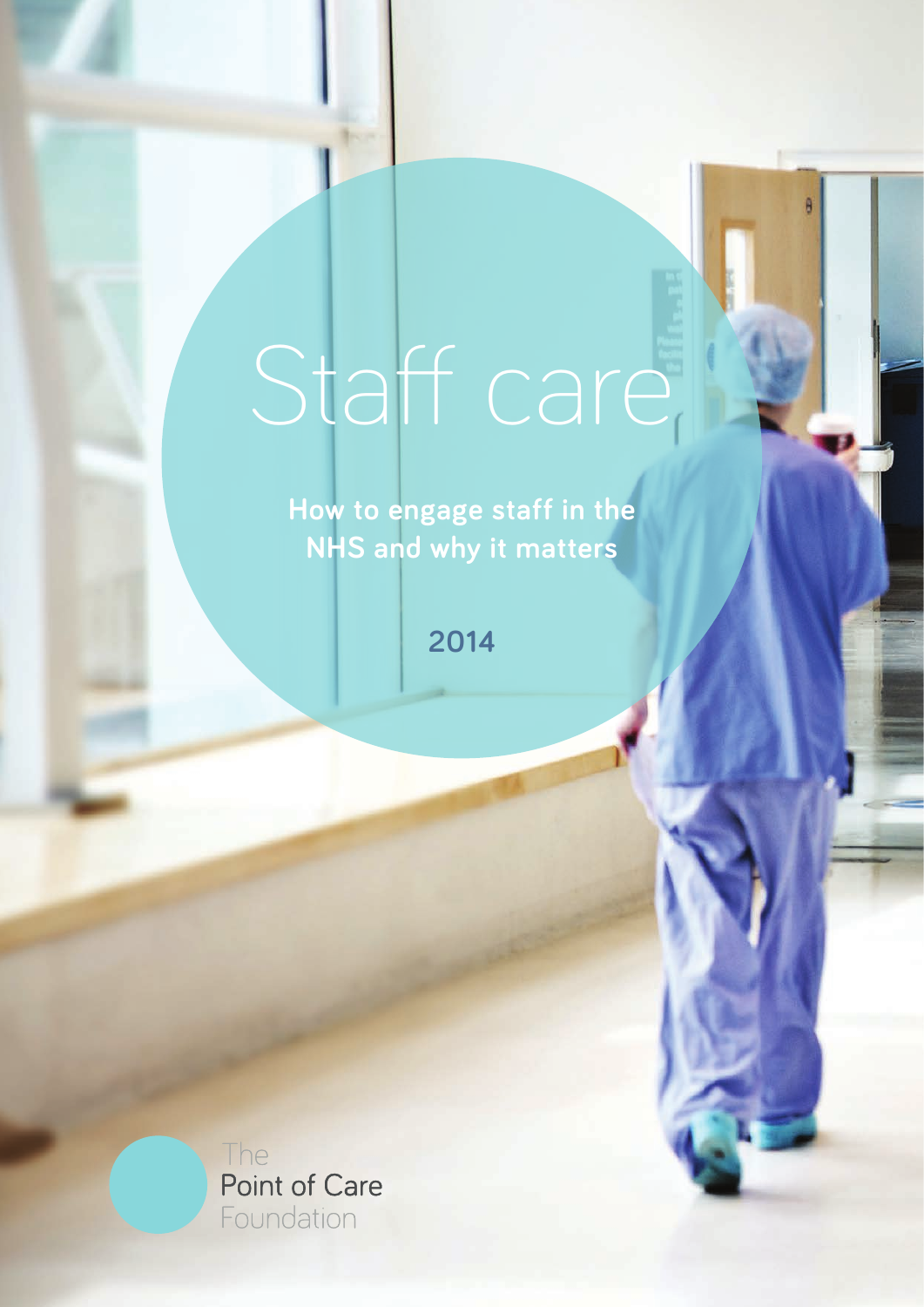# Staff care

**How to engage staff in the NHS and why it matters**

**2014**

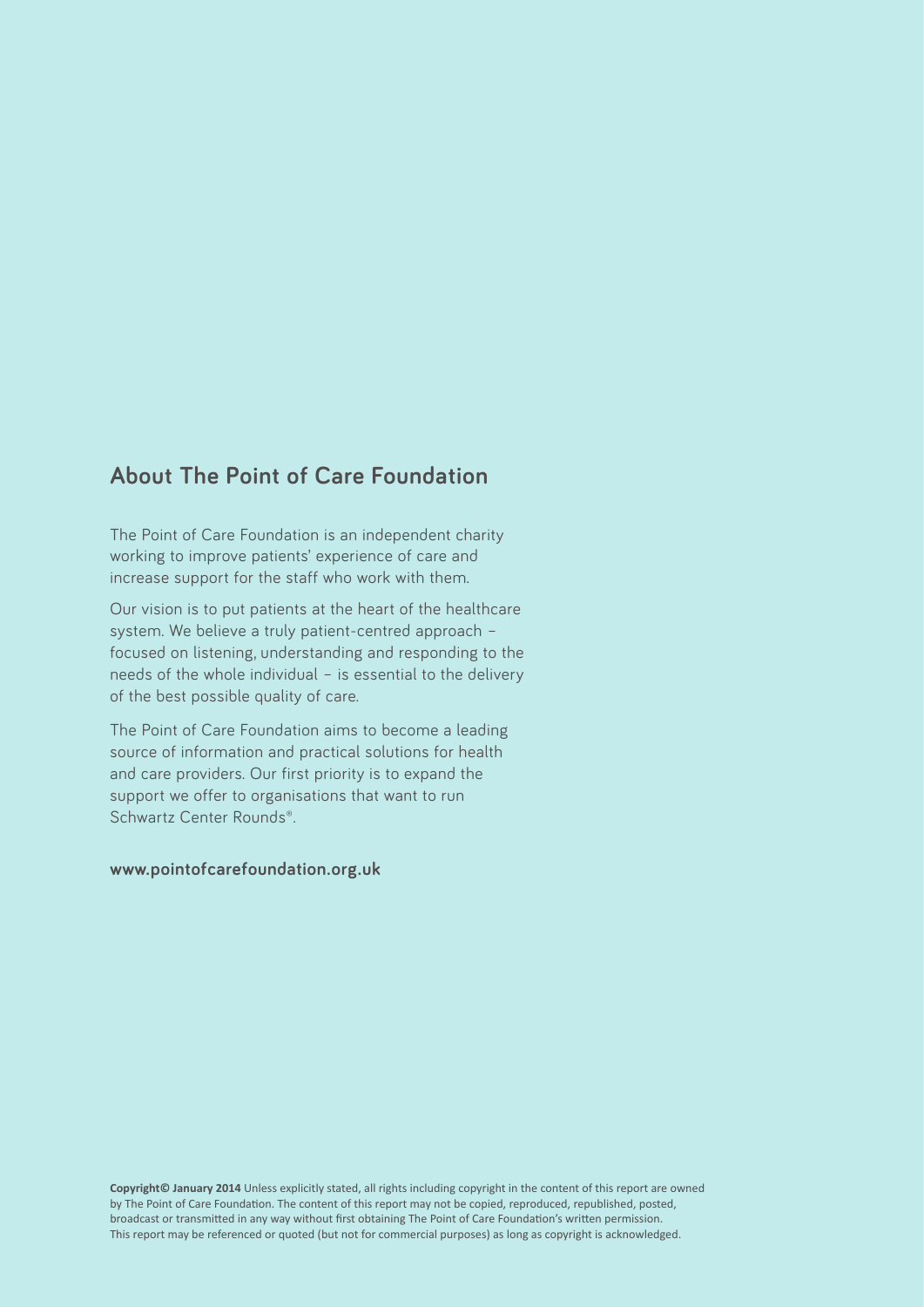# **About The Point of Care Foundation**

The Point of Care Foundation is an independent charity working to improve patients' experience of care and increase support for the staff who work with them.

Our vision is to put patients at the heart of the healthcare system. We believe a truly patient-centred approach – focused on listening, understanding and responding to the needs of the whole individual – is essential to the delivery of the best possible quality of care.

The Point of Care Foundation aims to become a leading source of information and practical solutions for health and care providers. Our first priority is to expand the support we offer to organisations that want to run Schwartz Center Rounds®.

#### **www.pointofcarefoundation.org.uk**

**Copyright© January 2014** Unless explicitly stated, all rights including copyright in the content of this report are owned by The Point of Care Foundation. The content of this report may not be copied, reproduced, republished, posted, broadcast or transmitted in any way without first obtaining The Point of Care Foundation's written permission. This report may be referenced or quoted (but not for commercial purposes) as long as copyright is acknowledged.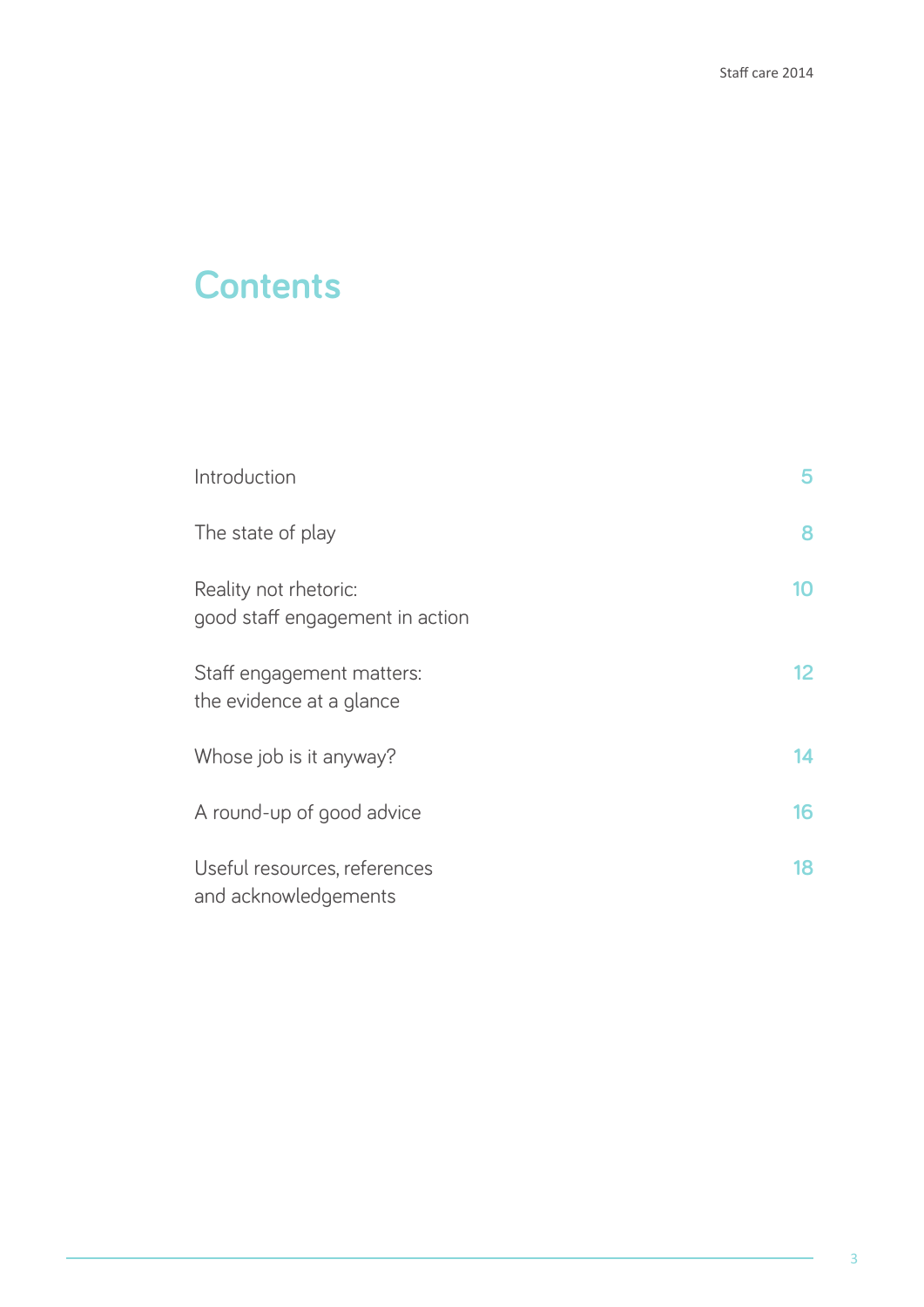# **Contents**

| Introduction                                             | 5  |
|----------------------------------------------------------|----|
| The state of play                                        | 8  |
| Reality not rhetoric:<br>good staff engagement in action | 10 |
| Staff engagement matters:<br>the evidence at a glance    | 12 |
| Whose job is it anyway?                                  | 14 |
| A round-up of good advice                                | 16 |
| Useful resources, references<br>and acknowledgements     | 18 |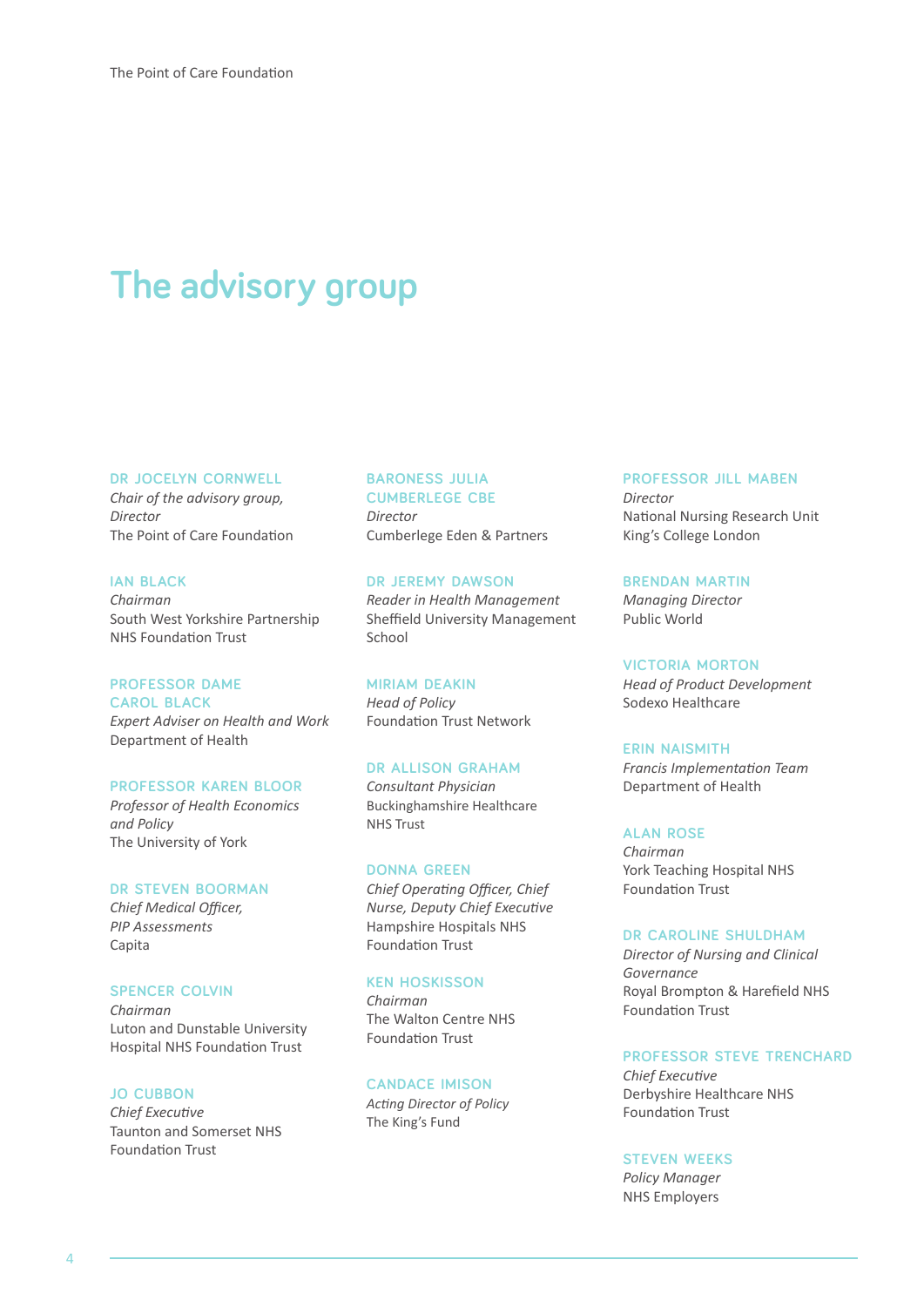# **The advisory group**

#### **dr jocelyn cornwell**

*Chair of the advisory group, Director* The Point of Care Foundation

#### **ian black**

*Chairman* South West Yorkshire Partnership NHS Foundation Trust

#### **professor dame**

**carol black** *Expert Adviser on Health and Work* Department of Health

#### **professor karen bloor**

*Professor of Health Economics and Policy* The University of York

#### **dr steven boorman**

*Chief Medical Officer, PIP Assessments* Capita

#### **spencer colvin**

*Chairman* Luton and Dunstable University Hospital NHS Foundation Trust

#### **jo cubbon**

*Chief Executive* Taunton and Somerset NHS Foundation Trust

## **baroness julia cumberlege cbe**

*Director* Cumberlege Eden & Partners

#### **dr jeremy dawson** *Reader in Health Management* Sheffield University Management School

**miriam deakin** *Head of Policy* Foundation Trust Network

#### **dr allison graham**

*Consultant Physician* Buckinghamshire Healthcare NHS Trust

#### **donna green**

*Chief Operating Officer, Chief Nurse, Deputy Chief Executive* Hampshire Hospitals NHS Foundation Trust

#### **ken hoskisson**

*Chairman* The Walton Centre NHS Foundation Trust

#### **candace imison**

*Acting Director of Policy* The King's Fund

#### **professor jill maben**

*Director* National Nursing Research Unit King's College London

**brendan martin** *Managing Director* Public World

#### **victoria morton**

*Head of Product Development*  Sodexo Healthcare

#### **erin naismith**

*Francis Implementation Team* Department of Health

#### **alan rose**

*Chairman* York Teaching Hospital NHS Foundation Trust

#### **dr caroline shuldham**

*Director of Nursing and Clinical Governance* Royal Brompton & Harefield NHS Foundation Trust

#### **professor steve trenchard**

*Chief Executive* Derbyshire Healthcare NHS Foundation Trust

#### **steven weeks**

*Policy Manager* NHS Employers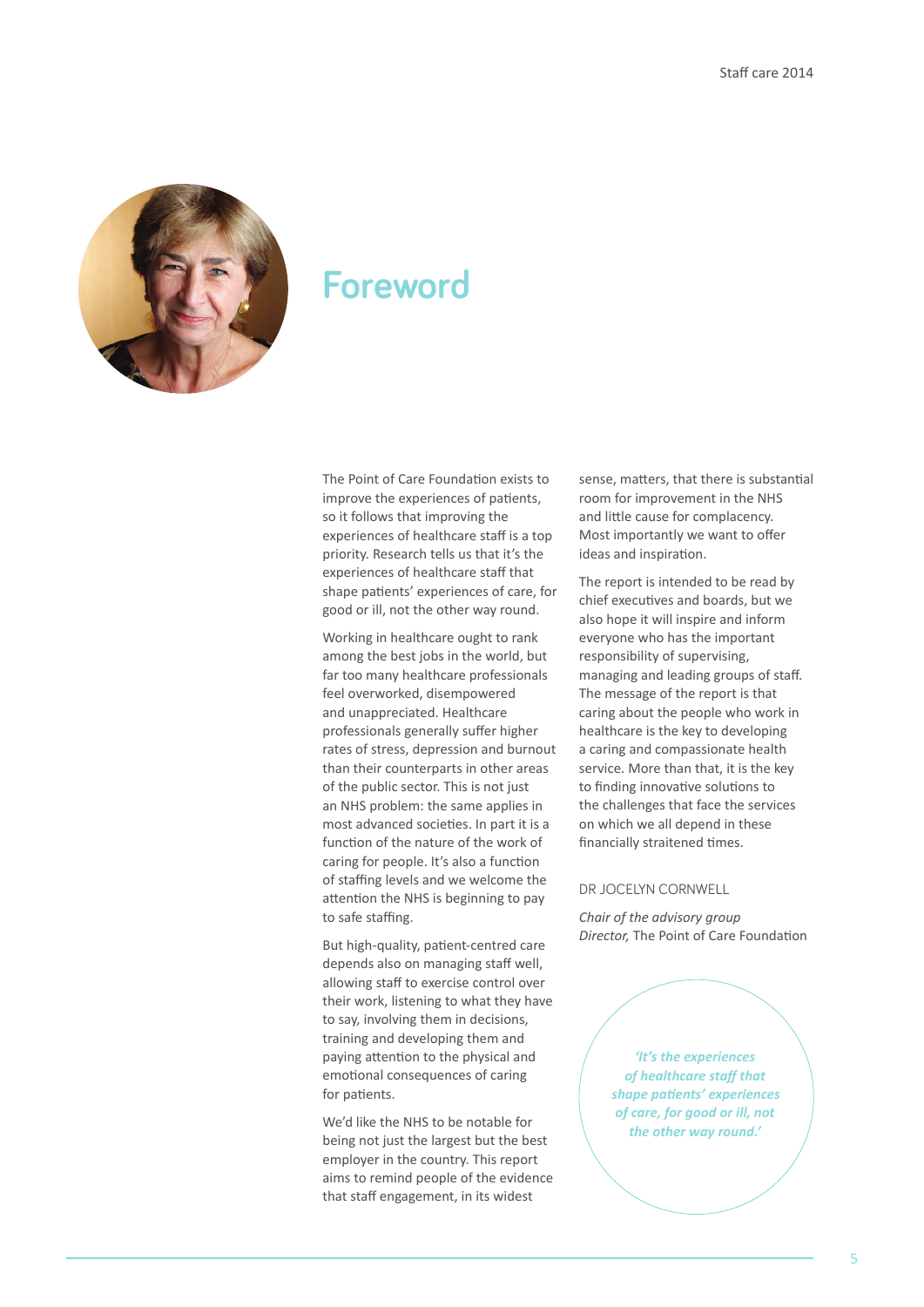

# **Foreword**

The Point of Care Foundation exists to improve the experiences of patients, so it follows that improving the experiences of healthcare staff is a top priority. Research tells us that it's the experiences of healthcare staff that shape patients' experiences of care, for good or ill, not the other way round.

Working in healthcare ought to rank among the best jobs in the world, but far too many healthcare professionals feel overworked, disempowered and unappreciated. Healthcare professionals generally suffer higher rates of stress, depression and burnout than their counterparts in other areas of the public sector. This is not just an NHS problem: the same applies in most advanced societies. In part it is a function of the nature of the work of caring for people. It's also a function of staffing levels and we welcome the attention the NHS is beginning to pay to safe staffing.

But high-quality, patient-centred care depends also on managing staff well, allowing staff to exercise control over their work, listening to what they have to say, involving them in decisions, training and developing them and paying attention to the physical and emotional consequences of caring for patients.

We'd like the NHS to be notable for being not just the largest but the best employer in the country. This report aims to remind people of the evidence that staff engagement, in its widest

sense, matters, that there is substantial room for improvement in the NHS and little cause for complacency. Most importantly we want to offer ideas and inspiration.

The report is intended to be read by chief executives and boards, but we also hope it will inspire and inform everyone who has the important responsibility of supervising, managing and leading groups of staff. The message of the report is that caring about the people who work in healthcare is the key to developing a caring and compassionate health service. More than that, it is the key to finding innovative solutions to the challenges that face the services on which we all depend in these financially straitened times.

#### DR JOCELYN CORNWELL

*Chair of the advisory group Director,* The Point of Care Foundation

> *'It's the experiences of healthcare staff that shape patients' experiences of care, for good or ill, not the other way round.'*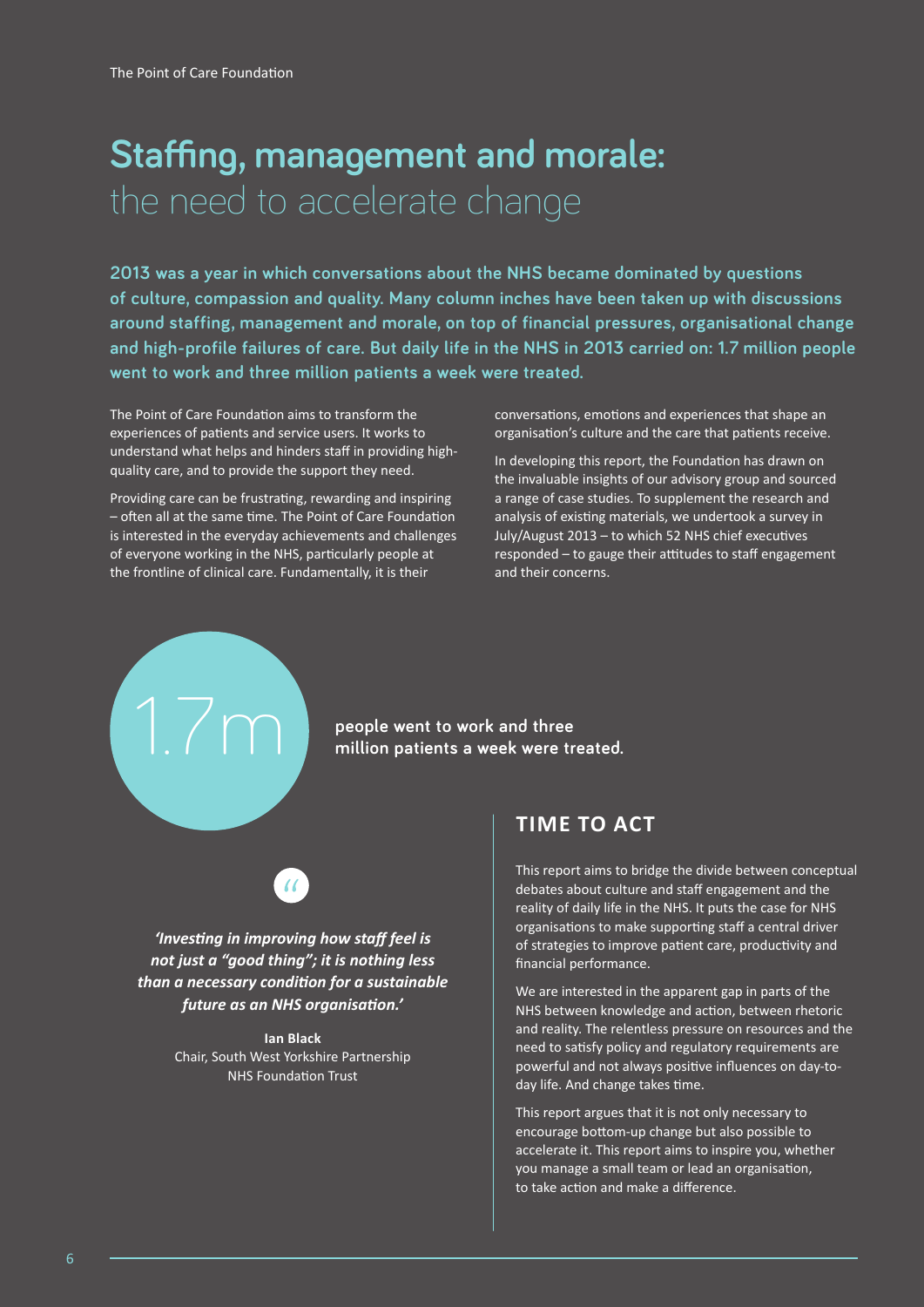# **Staffing, management and morale:**  the need to accelerate change

**2013 was a year in which conversations about the NHS became dominated by questions of culture, compassion and quality. Many column inches have been taken up with discussions around staffing, management and morale, on top of financial pressures, organisational change and high-profile failures of care. But daily life in the NHS in 2013 carried on: 1.7 million people went to work and three million patients a week were treated.**

The Point of Care Foundation aims to transform the experiences of patients and service users. It works to understand what helps and hinders staff in providing highquality care, and to provide the support they need.

Providing care can be frustrating, rewarding and inspiring – often all at the same time. The Point of Care Foundation is interested in the everyday achievements and challenges of everyone working in the NHS, particularly people at the frontline of clinical care. Fundamentally, it is their

1.7m

conversations, emotions and experiences that shape an organisation's culture and the care that patients receive.

In developing this report, the Foundation has drawn on the invaluable insights of our advisory group and sourced a range of case studies. To supplement the research and analysis of existing materials, we undertook a survey in July/August 2013 – to which 52 NHS chief executives responded – to gauge their attitudes to staff engagement and their concerns.

### **people went to work and three million patients a week were treated.**



*'Investing in improving how staff feel is not just a "good thing"; it is nothing less than a necessary condition for a sustainable future as an NHS organisation.'*

> **Ian Black**  Chair, South West Yorkshire Partnership NHS Foundation Trust

# **TIME TO ACT**

This report aims to bridge the divide between conceptual debates about culture and staff engagement and the reality of daily life in the NHS. It puts the case for NHS organisations to make supporting staff a central driver of strategies to improve patient care, productivity and financial performance.

We are interested in the apparent gap in parts of the NHS between knowledge and action, between rhetoric and reality. The relentless pressure on resources and the need to satisfy policy and regulatory requirements are powerful and not always positive influences on day-today life. And change takes time.

This report argues that it is not only necessary to encourage bottom-up change but also possible to accelerate it. This report aims to inspire you, whether you manage a small team or lead an organisation, to take action and make a difference.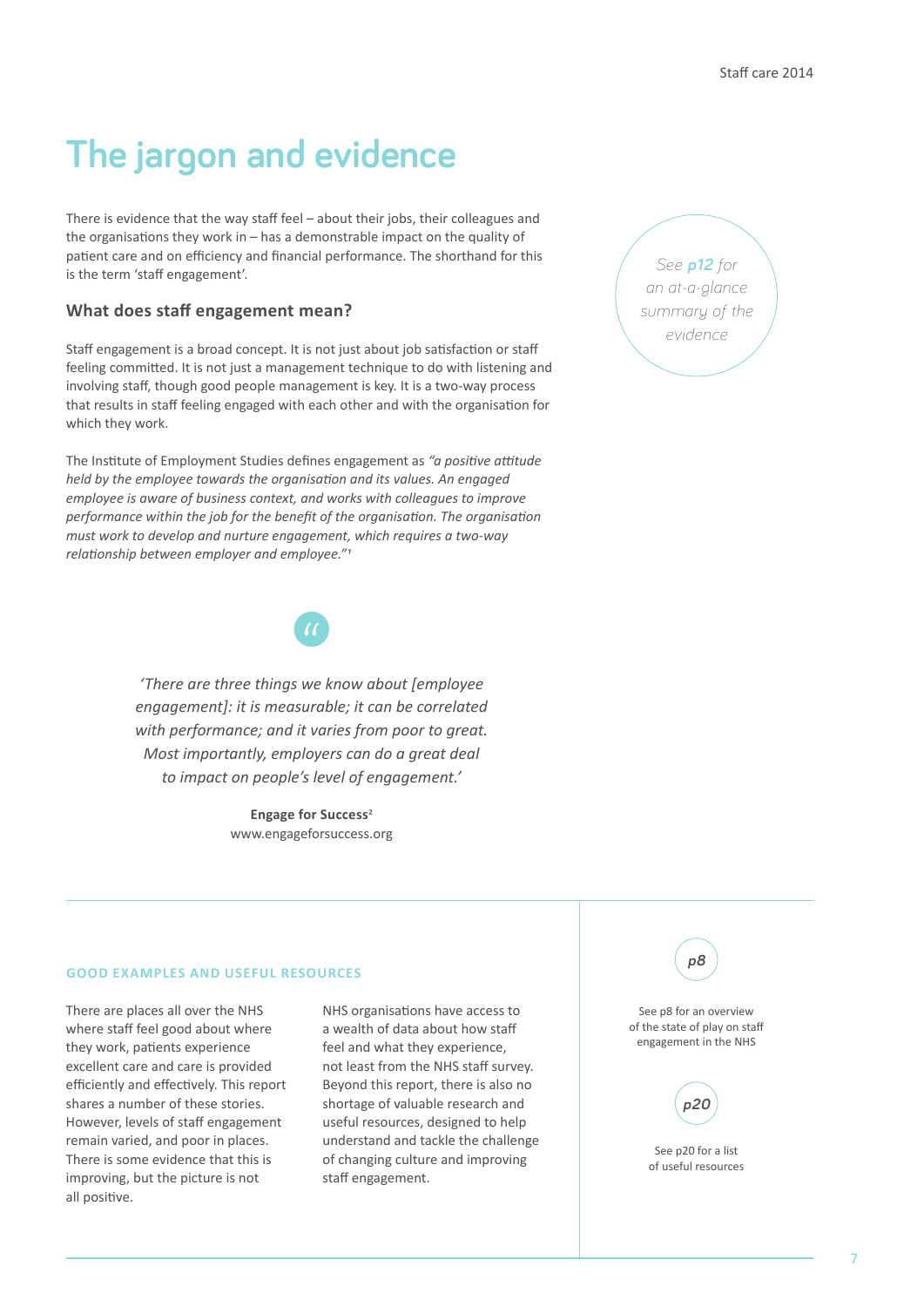# **The jargon and evidence**

There is evidence that the way staff feel – about their jobs, their colleagues and the organisations they work in – has a demonstrable impact on the quality of patient care and on efficiency and financial performance. The shorthand for this is the term 'staff engagement'.

#### **What does staff engagement mean?**

Staff engagement is a broad concept. It is not just about job satisfaction or staff feeling committed. It is not just a management technique to do with listening and involving staff, though good people management is key. It is a two-way process that results in staff feeling engaged with each other and with the organisation for which they work.

The Institute of Employment Studies defines engagement as *"a positive attitude held by the employee towards the organisation and its values. An engaged employee is aware of business context, and works with colleagues to improve performance within the job for the benefit of the organisation. The organisation must work to develop and nurture engagement, which requires a two-way relationship between employer and employee."1*



*'There are three things we know about [employee engagement]: it is measurable; it can be correlated with performance; and it varies from poor to great. Most importantly, employers can do a great deal to impact on people's level of engagement.'*

> **Engage for Success**2 www.engageforsuccess.org

#### **GOOD EXAMPLES AND USEFUL RESOURCES**

There are places all over the NHS where staff feel good about where they work, patients experience excellent care and care is provided efficiently and effectively. This report shares a number of these stories. However, levels of staff engagement remain varied, and poor in places. There is some evidence that this is improving, but the picture is not all positive.

NHS organisations have access to a wealth of data about how staff feel and what they experience, not least from the NHS staff survey. Beyond this report, there is also no shortage of valuable research and useful resources, designed to help understand and tackle the challenge of changing culture and improving staff engagement.





See p8 for an overview of the state of play on staff engagement in the NHS



See p20 for a list of useful resources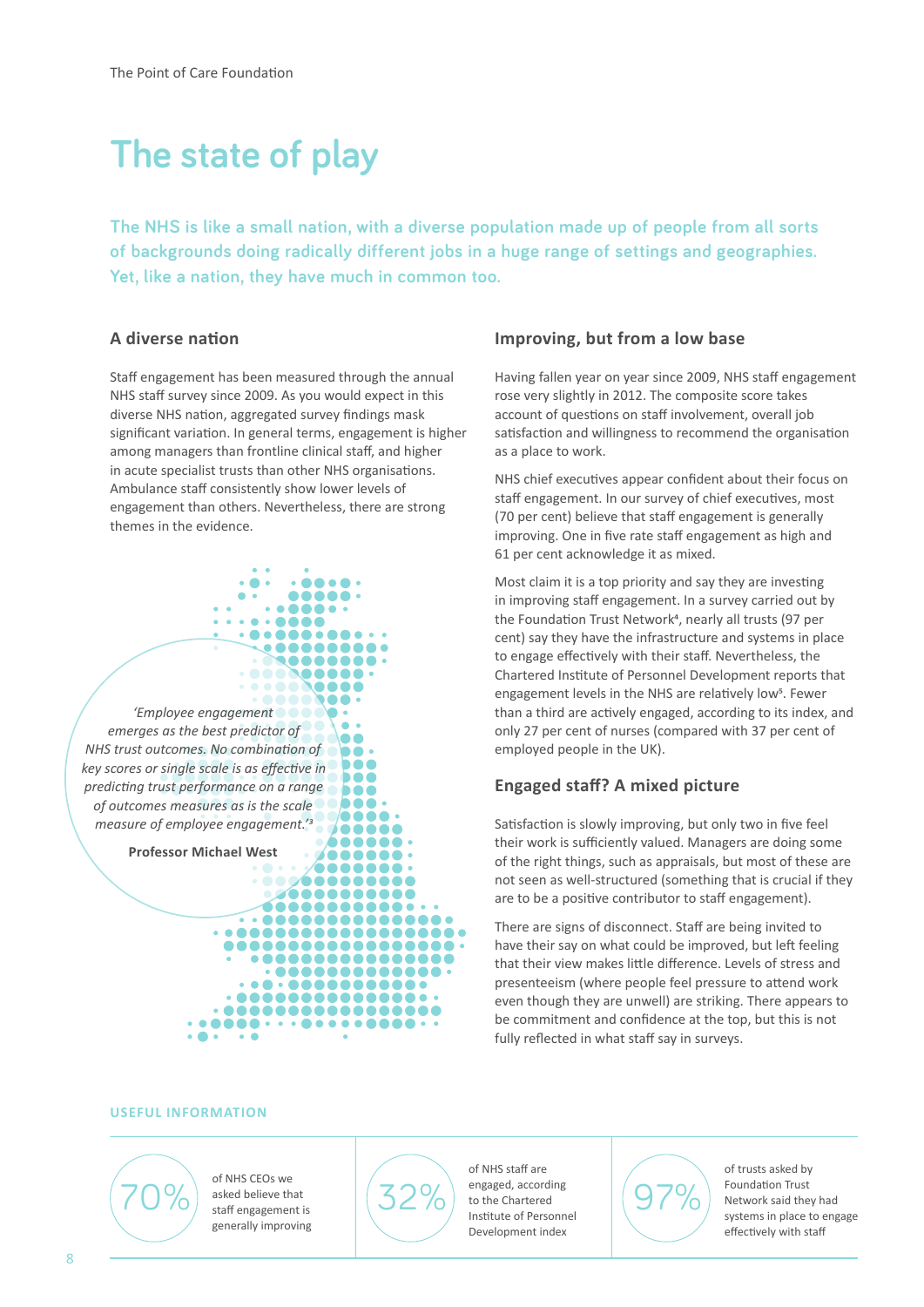# **The state of play**

**The NHS is like a small nation, with a diverse population made up of people from all sorts of backgrounds doing radically different jobs in a huge range of settings and geographies. Yet, like a nation, they have much in common too.**

### **A diverse nation**

Staff engagement has been measured through the annual NHS staff survey since 2009. As you would expect in this diverse NHS nation, aggregated survey findings mask significant variation. In general terms, engagement is higher among managers than frontline clinical staff, and higher in acute specialist trusts than other NHS organisations. Ambulance staff consistently show lower levels of engagement than others. Nevertheless, there are strong themes in the evidence.



### **Improving, but from a low base**

Having fallen year on year since 2009, NHS staff engagement rose very slightly in 2012. The composite score takes account of questions on staff involvement, overall job satisfaction and willingness to recommend the organisation as a place to work.

NHS chief executives appear confident about their focus on staff engagement. In our survey of chief executives, most (70 per cent) believe that staff engagement is generally improving. One in five rate staff engagement as high and 61 per cent acknowledge it as mixed.

Most claim it is a top priority and say they are investing in improving staff engagement. In a survey carried out by the Foundation Trust Network<sup>4</sup>, nearly all trusts (97 per cent) say they have the infrastructure and systems in place to engage effectively with their staff. Nevertheless, the Chartered Institute of Personnel Development reports that engagement levels in the NHS are relatively low<sup>5</sup>. Fewer than a third are actively engaged, according to its index, and only 27 per cent of nurses (compared with 37 per cent of employed people in the UK).

### **Engaged staff? A mixed picture**

Satisfaction is slowly improving, but only two in five feel their work is sufficiently valued. Managers are doing some of the right things, such as appraisals, but most of these are not seen as well-structured (something that is crucial if they are to be a positive contributor to staff engagement).

There are signs of disconnect. Staff are being invited to have their say on what could be improved, but left feeling that their view makes little difference. Levels of stress and presenteeism (where people feel pressure to attend work even though they are unwell) are striking. There appears to be commitment and confidence at the top, but this is not fully reflected in what staff say in surveys.

#### **USEFUL INFORMATION**



of NHS CEOs we asked believe that staff engagement is generally improving



of NHS staff are engaged, according to the Chartered Institute of Personnel Development index



of trusts asked by Foundation Trust Network said they had systems in place to engage effectively with staff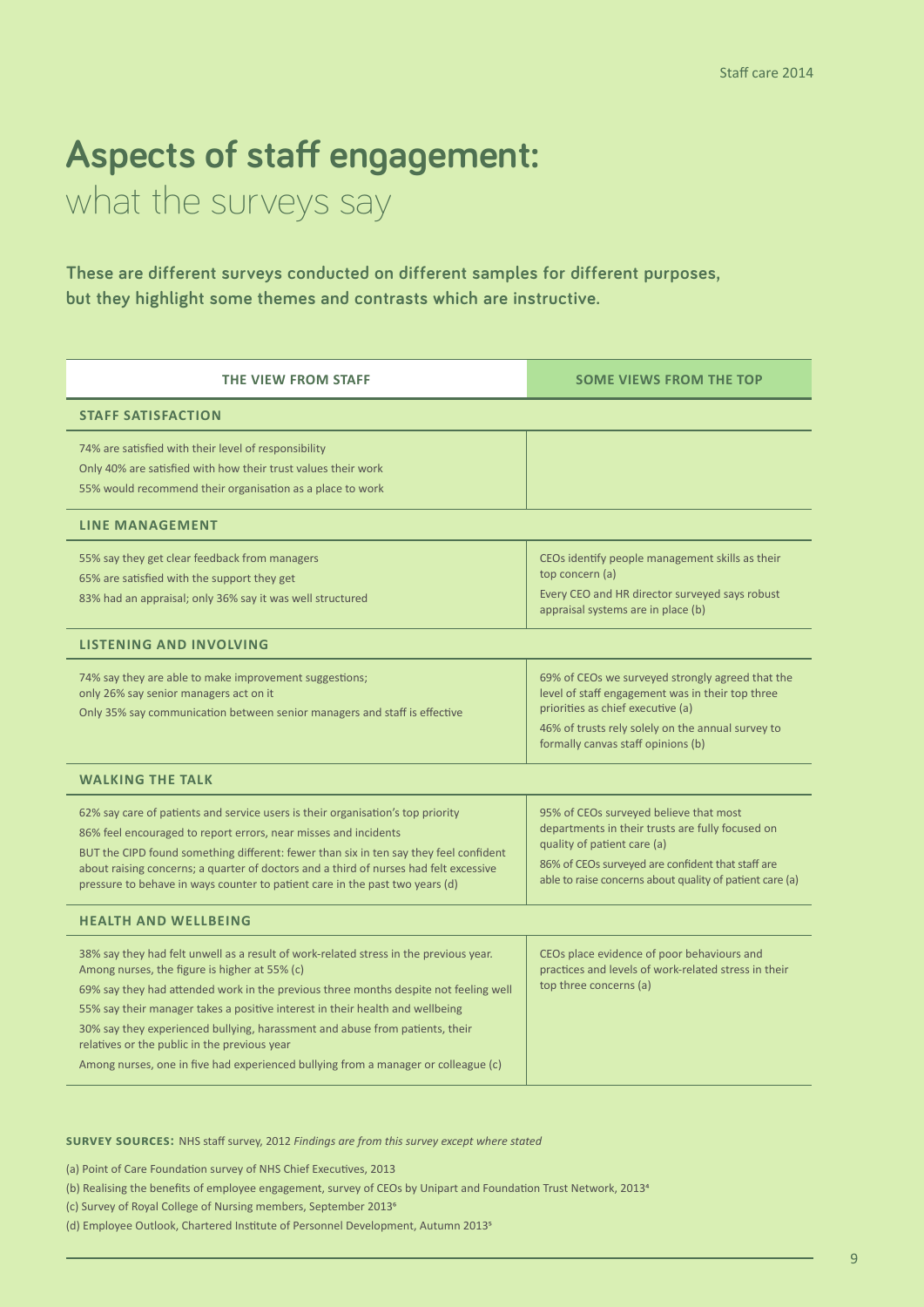# **Aspects of staff engagement:**

what the surveys say

**These are different surveys conducted on different samples for different purposes, but they highlight some themes and contrasts which are instructive.**

| <b>THE VIEW FROM STAFF</b>                                                                                                                                                                                                                                                                                                                                                                                                                                                                                                            | <b>SOME VIEWS FROM THE TOP</b>                                                                                                                                                                                                             |  |
|---------------------------------------------------------------------------------------------------------------------------------------------------------------------------------------------------------------------------------------------------------------------------------------------------------------------------------------------------------------------------------------------------------------------------------------------------------------------------------------------------------------------------------------|--------------------------------------------------------------------------------------------------------------------------------------------------------------------------------------------------------------------------------------------|--|
| <b>STAFF SATISFACTION</b>                                                                                                                                                                                                                                                                                                                                                                                                                                                                                                             |                                                                                                                                                                                                                                            |  |
| 74% are satisfied with their level of responsibility<br>Only 40% are satisfied with how their trust values their work<br>55% would recommend their organisation as a place to work                                                                                                                                                                                                                                                                                                                                                    |                                                                                                                                                                                                                                            |  |
| <b>LINE MANAGEMENT</b>                                                                                                                                                                                                                                                                                                                                                                                                                                                                                                                |                                                                                                                                                                                                                                            |  |
| 55% say they get clear feedback from managers<br>65% are satisfied with the support they get<br>83% had an appraisal; only 36% say it was well structured                                                                                                                                                                                                                                                                                                                                                                             | CEOs identify people management skills as their<br>top concern (a)<br>Every CEO and HR director surveyed says robust<br>appraisal systems are in place (b)                                                                                 |  |
| <b>LISTENING AND INVOLVING</b>                                                                                                                                                                                                                                                                                                                                                                                                                                                                                                        |                                                                                                                                                                                                                                            |  |
| 74% say they are able to make improvement suggestions;<br>only 26% say senior managers act on it<br>Only 35% say communication between senior managers and staff is effective                                                                                                                                                                                                                                                                                                                                                         | 69% of CEOs we surveyed strongly agreed that the<br>level of staff engagement was in their top three<br>priorities as chief executive (a)<br>46% of trusts rely solely on the annual survey to<br>formally canvas staff opinions (b)       |  |
| <b>WALKING THE TALK</b>                                                                                                                                                                                                                                                                                                                                                                                                                                                                                                               |                                                                                                                                                                                                                                            |  |
| 62% say care of patients and service users is their organisation's top priority<br>86% feel encouraged to report errors, near misses and incidents<br>BUT the CIPD found something different: fewer than six in ten say they feel confident<br>about raising concerns; a quarter of doctors and a third of nurses had felt excessive<br>pressure to behave in ways counter to patient care in the past two years (d)                                                                                                                  | 95% of CEOs surveyed believe that most<br>departments in their trusts are fully focused on<br>quality of patient care (a)<br>86% of CEOs surveyed are confident that staff are<br>able to raise concerns about quality of patient care (a) |  |
| <b>HEALTH AND WELLBEING</b>                                                                                                                                                                                                                                                                                                                                                                                                                                                                                                           |                                                                                                                                                                                                                                            |  |
| 38% say they had felt unwell as a result of work-related stress in the previous year.<br>Among nurses, the figure is higher at 55% (c)<br>69% say they had attended work in the previous three months despite not feeling well<br>55% say their manager takes a positive interest in their health and wellbeing<br>30% say they experienced bullying, harassment and abuse from patients, their<br>relatives or the public in the previous year<br>Among nurses, one in five had experienced bullying from a manager or colleague (c) | CEOs place evidence of poor behaviours and<br>practices and levels of work-related stress in their<br>top three concerns (a)                                                                                                               |  |

**survey sources:** NHS staff survey, 2012 *Findings are from this survey except where stated*

(a) Point of Care Foundation survey of NHS Chief Executives, 2013

- (b) Realising the benefits of employee engagement, survey of CEOs by Unipart and Foundation Trust Network, 20134
- (c) Survey of Royal College of Nursing members, September 20136
- (d) Employee Outlook, Chartered Institute of Personnel Development, Autumn 20135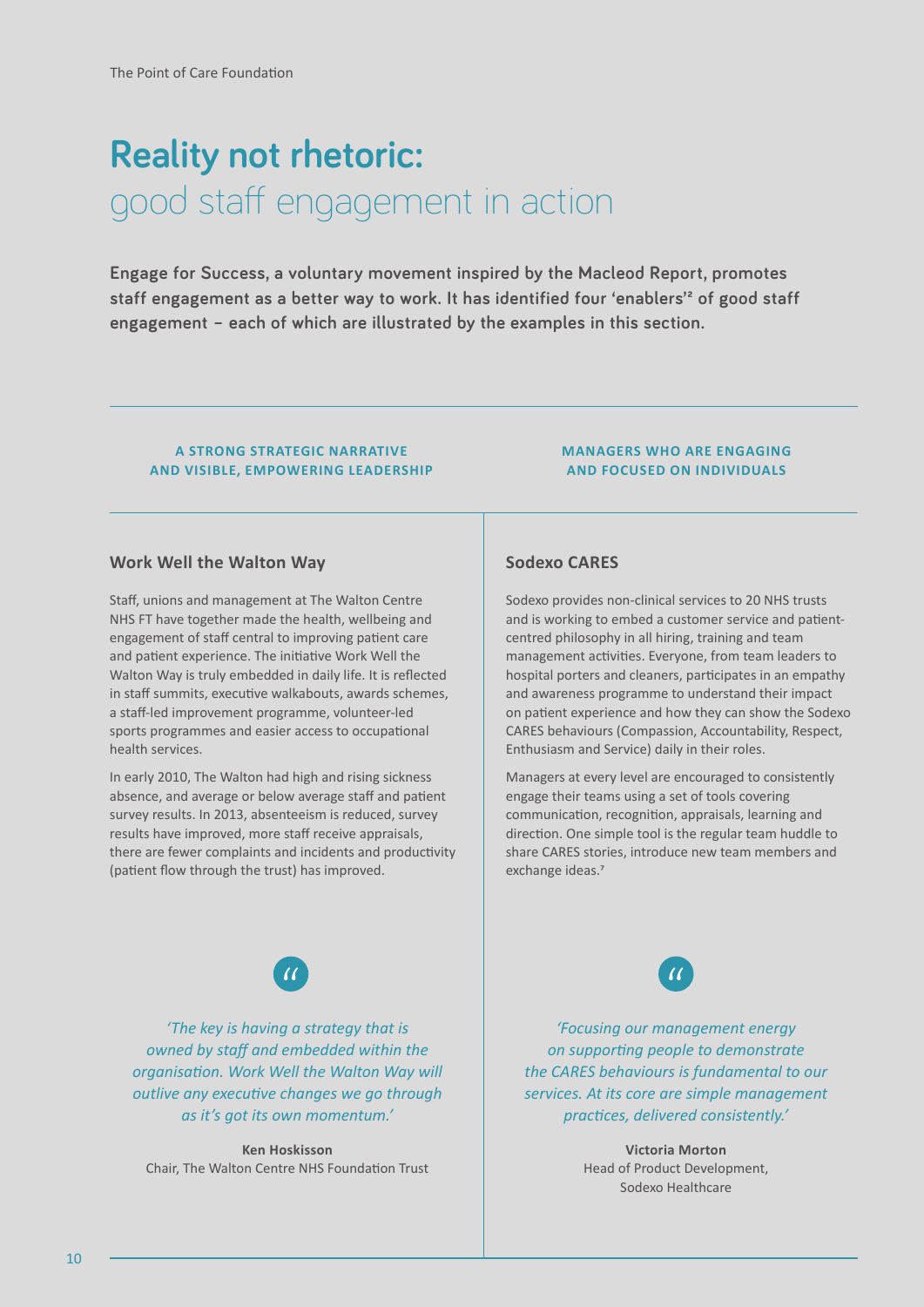# **Reality not rhetoric:**  good staff engagement in action

**Engage for Success, a voluntary movement inspired by the Macleod Report, promotes**  staff engagement as a better way to work. It has identified four 'enablers'<sup>2</sup> of good staff **engagement – each of which are illustrated by the examples in this section.** 

#### **A STRONG STRATEGIC NARRATIVE AND VISIBLE, EMPOWERING LEADERSHIP**

### **Work Well the Walton Way**

Staff, unions and management at The Walton Centre NHS FT have together made the health, wellbeing and engagement of staff central to improving patient care and patient experience. The initiative Work Well the Walton Way is truly embedded in daily life. It is reflected in staff summits, executive walkabouts, awards schemes, a staff-led improvement programme, volunteer-led sports programmes and easier access to occupational health services.

In early 2010, The Walton had high and rising sickness absence, and average or below average staff and patient survey results. In 2013, absenteeism is reduced, survey results have improved, more staff receive appraisals, there are fewer complaints and incidents and productivity (patient flow through the trust) has improved.

#### **MANAGERS WHO ARE ENGAGING AND FOCUSED ON INDIVIDUALS**

### **Sodexo CARES**

Sodexo provides non-clinical services to 20 NHS trusts and is working to embed a customer service and patientcentred philosophy in all hiring, training and team management activities. Everyone, from team leaders to hospital porters and cleaners, participates in an empathy and awareness programme to understand their impact on patient experience and how they can show the Sodexo CARES behaviours (Compassion, Accountability, Respect, Enthusiasm and Service) daily in their roles.

Managers at every level are encouraged to consistently engage their teams using a set of tools covering communication, recognition, appraisals, learning and direction. One simple tool is the regular team huddle to share CARES stories, introduce new team members and exchange ideas.<sup>7</sup>



*'The key is having a strategy that is owned by staff and embedded within the organisation. Work Well the Walton Way will outlive any executive changes we go through as it's got its own momentum.'*

**Ken Hoskisson**  Chair, The Walton Centre NHS Foundation Trust

*'Focusing our management energy on supporting people to demonstrate the CARES behaviours is fundamental to our services. At its core are simple management practices, delivered consistently.'* 

> **Victoria Morton** Head of Product Development, Sodexo Healthcare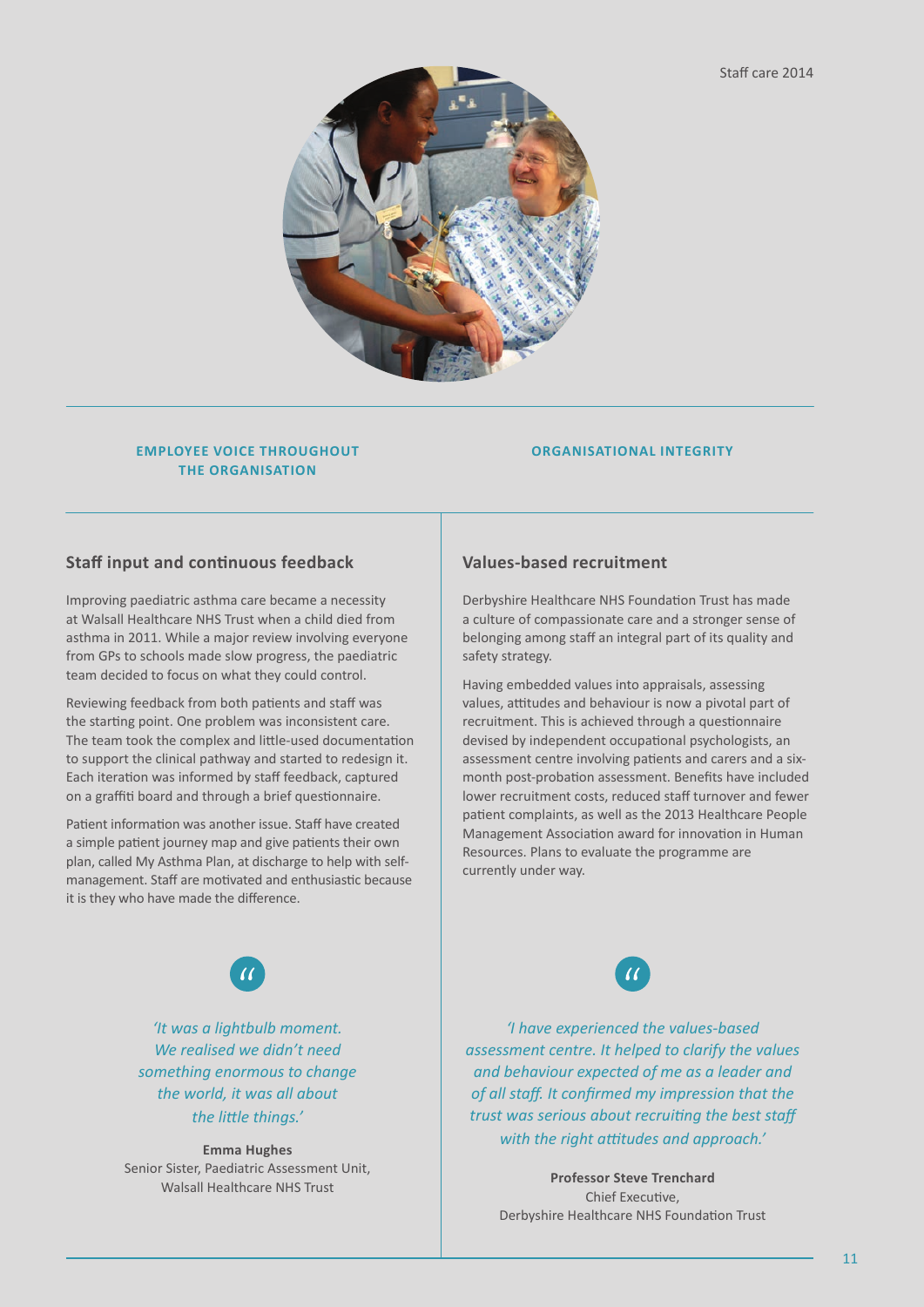

#### **EMPLOYEE VOICE THROUGHOUT THE ORGANISATION**

#### **ORGANISATIONAL INTEGRITY**

### **Staff input and continuous feedback**

Improving paediatric asthma care became a necessity at Walsall Healthcare NHS Trust when a child died from asthma in 2011. While a major review involving everyone from GPs to schools made slow progress, the paediatric team decided to focus on what they could control.

Reviewing feedback from both patients and staff was the starting point. One problem was inconsistent care. The team took the complex and little-used documentation to support the clinical pathway and started to redesign it. Each iteration was informed by staff feedback, captured on a graffiti board and through a brief questionnaire.

Patient information was another issue. Staff have created a simple patient journey map and give patients their own plan, called My Asthma Plan, at discharge to help with selfmanagement. Staff are motivated and enthusiastic because it is they who have made the difference.

### **Values-based recruitment**

Derbyshire Healthcare NHS Foundation Trust has made a culture of compassionate care and a stronger sense of belonging among staff an integral part of its quality and safety strategy.

Having embedded values into appraisals, assessing values, attitudes and behaviour is now a pivotal part of recruitment. This is achieved through a questionnaire devised by independent occupational psychologists, an assessment centre involving patients and carers and a sixmonth post-probation assessment. Benefits have included lower recruitment costs, reduced staff turnover and fewer patient complaints, as well as the 2013 Healthcare People Management Association award for innovation in Human Resources. Plans to evaluate the programme are currently under way.



*'It was a lightbulb moment. We realised we didn't need something enormous to change the world, it was all about the little things.'*

**Emma Hughes**  Senior Sister, Paediatric Assessment Unit, Walsall Healthcare NHS Trust



*'I have experienced the values-based assessment centre. It helped to clarify the values and behaviour expected of me as a leader and of all staff. It confirmed my impression that the trust was serious about recruiting the best staff with the right attitudes and approach.'*

> **Professor Steve Trenchard** Chief Executive, Derbyshire Healthcare NHS Foundation Trust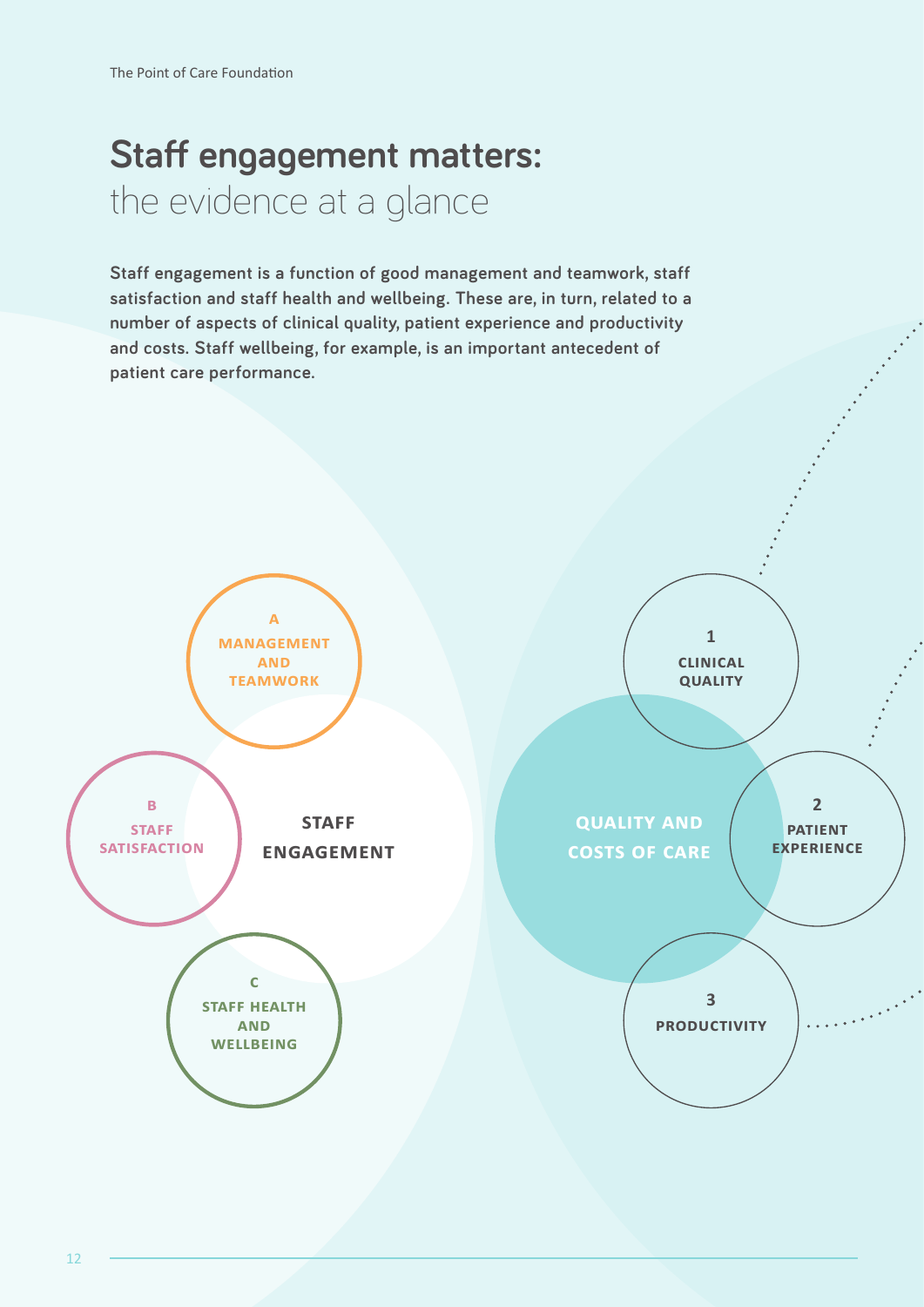# **Staff engagement matters:**  the evidence at a glance

**Staff engagement is a function of good management and teamwork, staff satisfaction and staff health and wellbeing. These are, in turn, related to a number of aspects of clinical quality, patient experience and productivity and costs. Staff wellbeing, for example, is an important antecedent of patient care performance.**

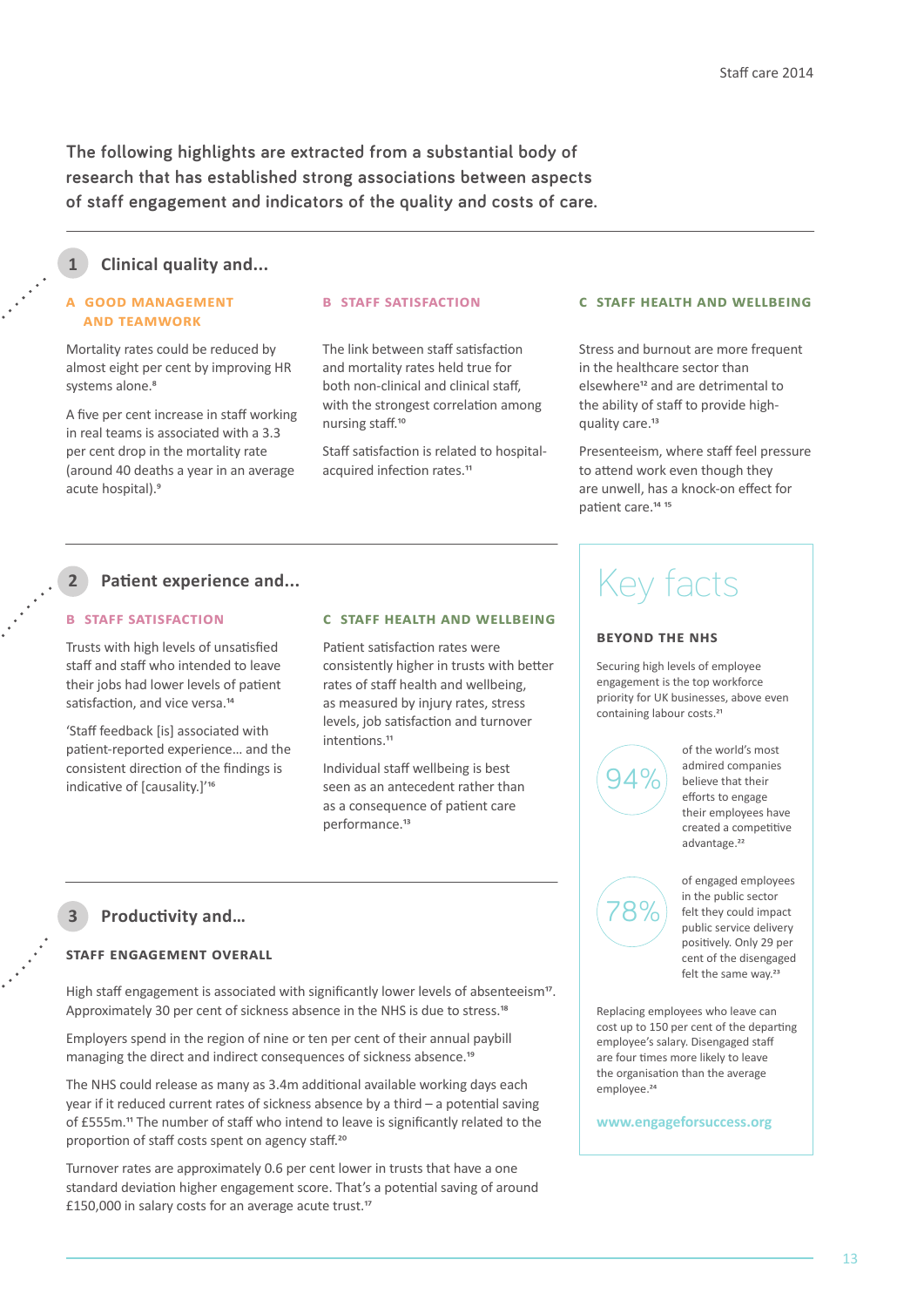**The following highlights are extracted from a substantial body of research that has established strong associations between aspects of staff engagement and indicators of the quality and costs of care.**

#### **Clinical quality and... 1**

#### **a good management and teamwork**

Mortality rates could be reduced by almost eight per cent by improving HR systems alone.<sup>8</sup>

A five per cent increase in staff working in real teams is associated with a 3.3 per cent drop in the mortality rate (around 40 deaths a year in an average acute hospital).9

#### **b staff satisfaction**

The link between staff satisfaction and mortality rates held true for both non-clinical and clinical staff, with the strongest correlation among nursing staff.10

Staff satisfaction is related to hospitalacquired infection rates.<sup>11</sup>

#### **c staff health and wellbeing**

Stress and burnout are more frequent in the healthcare sector than elsewhere12 and are detrimental to the ability of staff to provide highquality care.<sup>13</sup>

Presenteeism, where staff feel pressure to attend work even though they are unwell, has a knock-on effect for patient care.14 15

#### **Patient experience and...**

#### **b staff satisfaction**

**2**

Trusts with high levels of unsatisfied staff and staff who intended to leave their jobs had lower levels of patient satisfaction, and vice versa.<sup>14</sup>

'Staff feedback [is] associated with patient-reported experience… and the consistent direction of the findings is indicative of [causality.]'16

#### **c staff health and wellbeing**

Patient satisfaction rates were consistently higher in trusts with better rates of staff health and wellbeing, as measured by injury rates, stress levels, job satisfaction and turnover intentions.<sup>11</sup>

Individual staff wellbeing is best seen as an antecedent rather than as a consequence of patient care performance.<sup>13</sup>

# Key facts

#### **beyond the nhs**

Securing high levels of employee engagement is the top workforce priority for UK businesses, above even containing labour costs.<sup>21</sup>

94%

of the world's most admired companies believe that their efforts to engage their employees have created a competitive advantage.<sup>22</sup>

felt the same way.<sup>23</sup>

of engaged employees in the public sector felt they could impact public service delivery positively. Only 29 per cent of the disengaged 78%

**Productivity and… 3**

#### **staff engagement overall**

High staff engagement is associated with significantly lower levels of absenteeism<sup>17</sup>. Approximately 30 per cent of sickness absence in the NHS is due to stress.<sup>18</sup>

Employers spend in the region of nine or ten per cent of their annual paybill managing the direct and indirect consequences of sickness absence.<sup>19</sup>

The NHS could release as many as 3.4m additional available working days each year if it reduced current rates of sickness absence by a third – a potential saving of £555m.11 The number of staff who intend to leave is significantly related to the proportion of staff costs spent on agency staff.<sup>20</sup>

Turnover rates are approximately 0.6 per cent lower in trusts that have a one standard deviation higher engagement score. That's a potential saving of around £150,000 in salary costs for an average acute trust.17

Replacing employees who leave can cost up to 150 per cent of the departing employee's salary. Disengaged staff are four times more likely to leave the organisation than the average employee.<sup>24</sup>

**www.engageforsuccess.org**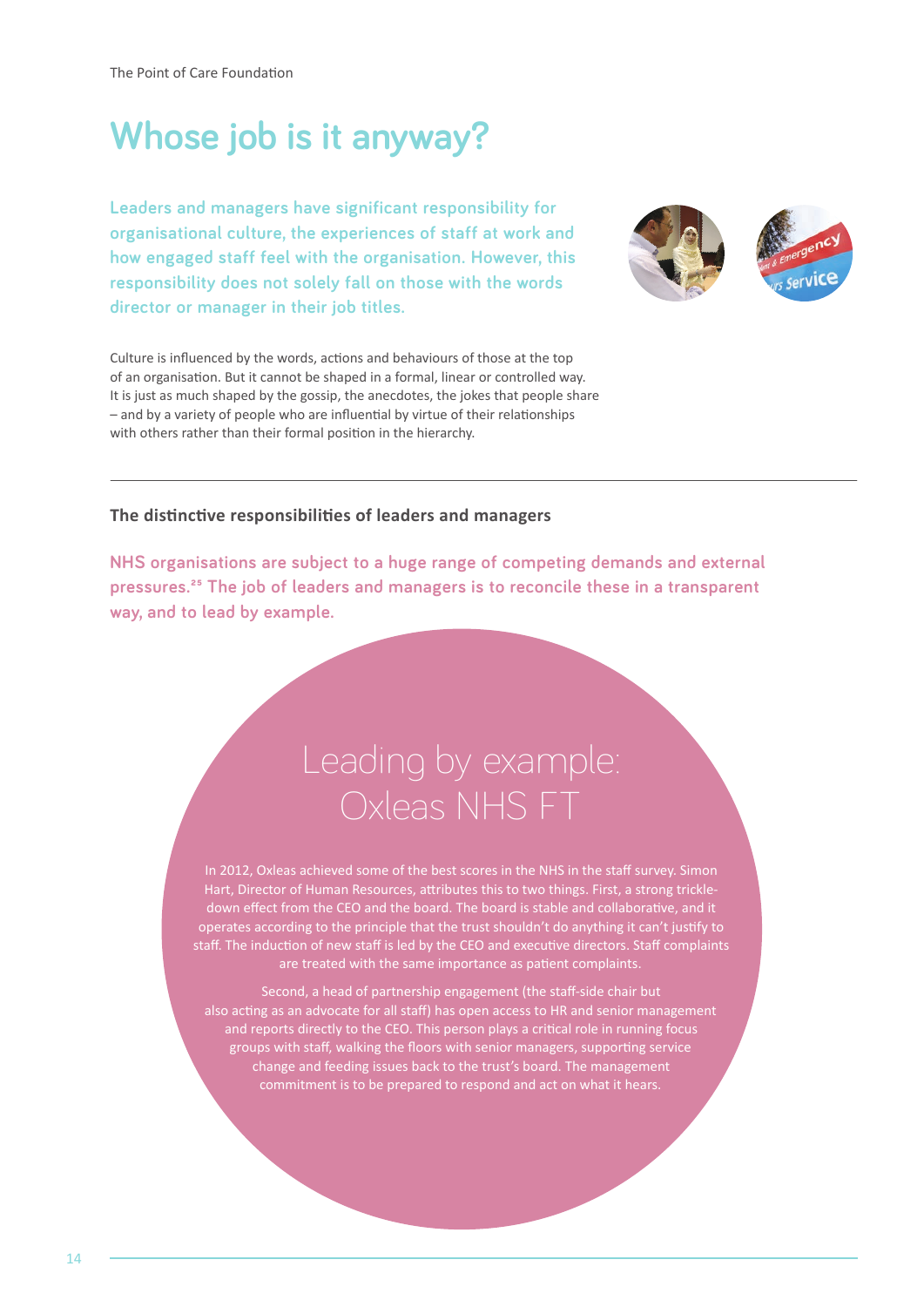The Point of Care Foundation

# **Whose job is it anyway?**

**Leaders and managers have significant responsibility for organisational culture, the experiences of staff at work and how engaged staff feel with the organisation. However, this responsibility does not solely fall on those with the words director or manager in their job titles.**



Culture is influenced by the words, actions and behaviours of those at the top of an organisation. But it cannot be shaped in a formal, linear or controlled way. It is just as much shaped by the gossip, the anecdotes, the jokes that people share – and by a variety of people who are influential by virtue of their relationships with others rather than their formal position in the hierarchy.

### **The distinctive responsibilities of leaders and managers**

**NHS organisations are subject to a huge range of competing demands and external pressures.25 The job of leaders and managers is to reconcile these in a transparent way, and to lead by example.** 

# Leading by example: Oxleas NHS FT

operates according to the principle that the trust shouldn't do anything it can't justify to staff. The induction of new staff is led by the CEO and executive directors. Staff complaints are treated with the same importance as patient complaints.

Second, a head of partnership engagement (the staff-side chair but also acting as an advocate for all staff) has open access to HR and senior management and reports directly to the CEO. This person plays a critical role in running focus groups with staff, walking the floors with senior managers, supporting service change and feeding issues back to the trust's board. The management commitment is to be prepared to respond and act on what it hears.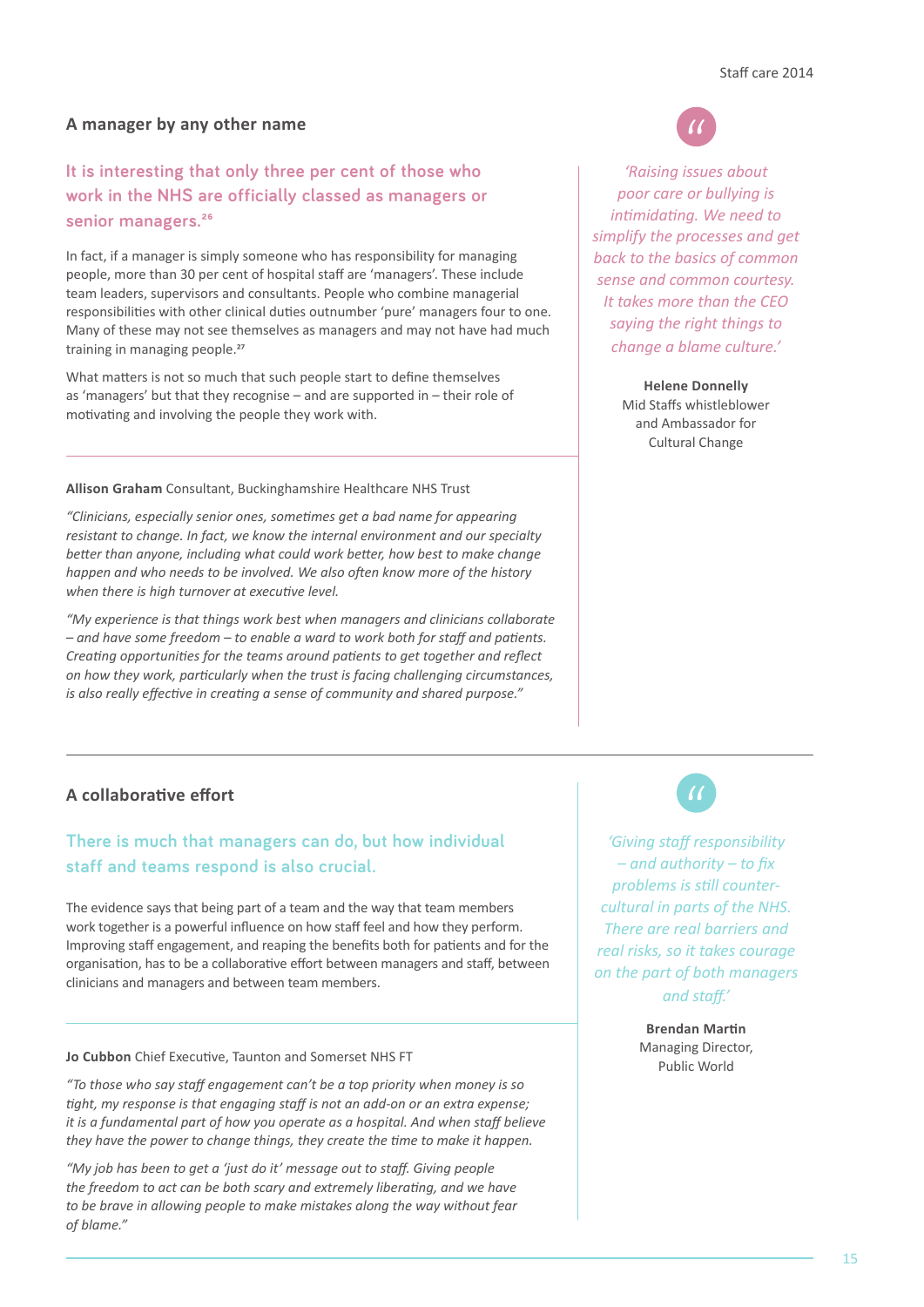#### **A manager by any other name**

# **It is interesting that only three per cent of those who work in the NHS are officially classed as managers or senior managers.26**

In fact, if a manager is simply someone who has responsibility for managing people, more than 30 per cent of hospital staff are 'managers'. These include team leaders, supervisors and consultants. People who combine managerial responsibilities with other clinical duties outnumber 'pure' managers four to one. Many of these may not see themselves as managers and may not have had much training in managing people.<sup>27</sup>

What matters is not so much that such people start to define themselves as 'managers' but that they recognise – and are supported in – their role of motivating and involving the people they work with.

**Allison Graham** Consultant, Buckinghamshire Healthcare NHS Trust

*"Clinicians, especially senior ones, sometimes get a bad name for appearing resistant to change. In fact, we know the internal environment and our specialty better than anyone, including what could work better, how best to make change happen and who needs to be involved. We also often know more of the history when there is high turnover at executive level.*

*"My experience is that things work best when managers and clinicians collaborate – and have some freedom – to enable a ward to work both for staff and patients. Creating opportunities for the teams around patients to get together and reflect on how they work, particularly when the trust is facing challenging circumstances, is also really effective in creating a sense of community and shared purpose."* 

### **A collaborative effort**

# **There is much that managers can do, but how individual staff and teams respond is also crucial.**

The evidence says that being part of a team and the way that team members work together is a powerful influence on how staff feel and how they perform. Improving staff engagement, and reaping the benefits both for patients and for the organisation, has to be a collaborative effort between managers and staff, between clinicians and managers and between team members.

**Public World Cubbon** Chief Executive, Taunton and Somerset NHS FT **Source Contains the Cubbon** Chief Executive, Taunton and Somerset NHS FT

*"To those who say staff engagement can't be a top priority when money is so tight, my response is that engaging staff is not an add-on or an extra expense; it is a fundamental part of how you operate as a hospital. And when staff believe they have the power to change things, they create the time to make it happen.* 

*"My job has been to get a 'just do it' message out to staff. Giving people the freedom to act can be both scary and extremely liberating, and we have to be brave in allowing people to make mistakes along the way without fear of blame."*



*'Raising issues about poor care or bullying is intimidating. We need to simplify the processes and get back to the basics of common sense and common courtesy. It takes more than the CEO saying the right things to change a blame culture.'*

> **Helene Donnelly** Mid Staffs whistleblower and Ambassador for Cultural Change

*'Giving staff responsibility – and authority – to fix problems is still countercultural in parts of the NHS. There are real barriers and real risks, so it takes courage on the part of both managers and staff.'*

> **Brendan Martin**  Managing Director,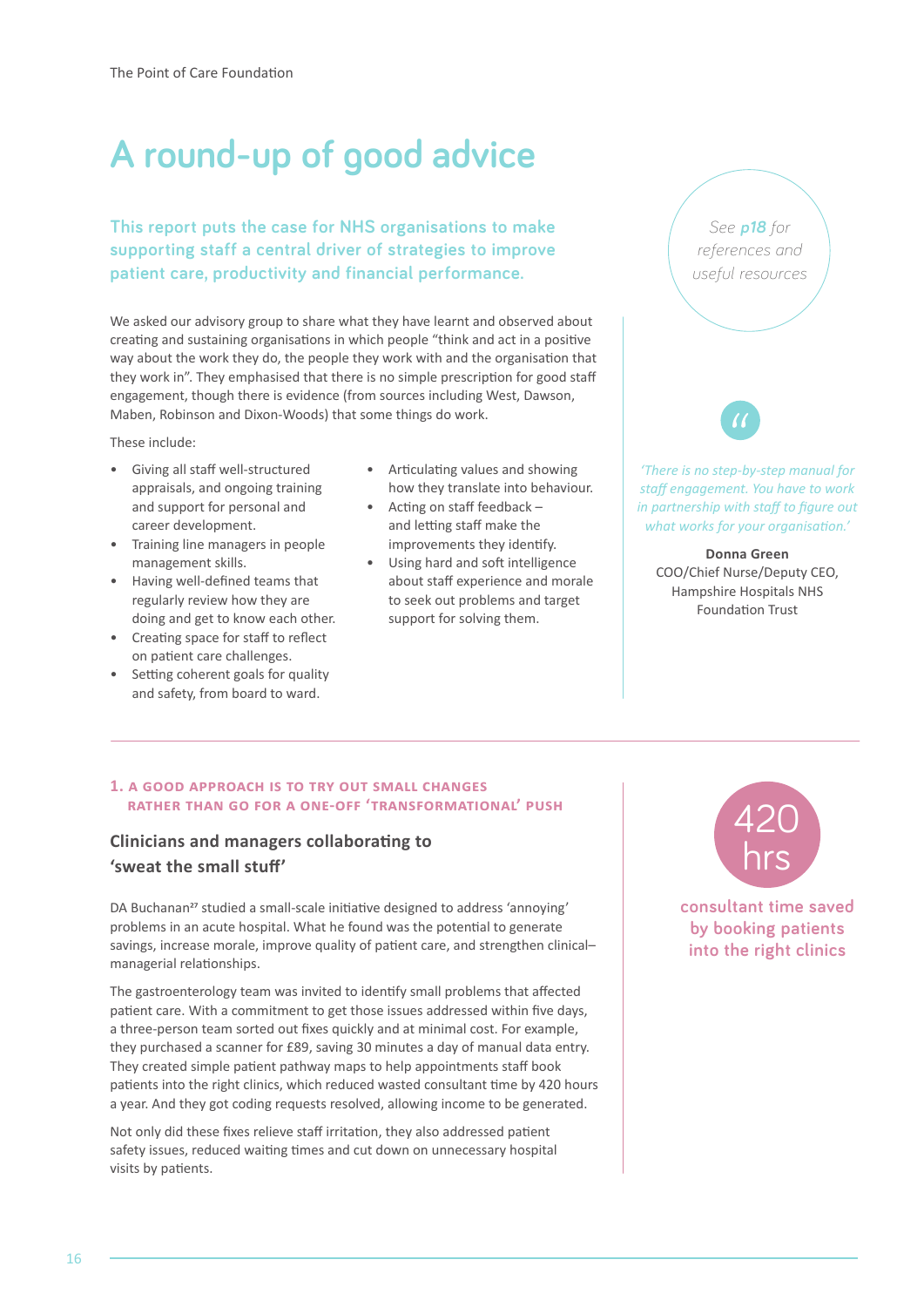# **A round-up of good advice**

**This report puts the case for NHS organisations to make supporting staff a central driver of strategies to improve patient care, productivity and financial performance.** 

We asked our advisory group to share what they have learnt and observed about creating and sustaining organisations in which people "think and act in a positive way about the work they do, the people they work with and the organisation that they work in". They emphasised that there is no simple prescription for good staff engagement, though there is evidence (from sources including West, Dawson, Maben, Robinson and Dixon-Woods) that some things do work.

These include:

- Giving all staff well-structured appraisals, and ongoing training and support for personal and career development.
- Training line managers in people management skills.
- Having well-defined teams that regularly review how they are doing and get to know each other.
- Creating space for staff to reflect on patient care challenges.
- Setting coherent goals for quality and safety, from board to ward.
- Articulating values and showing how they translate into behaviour.
- Acting on staff feedback and letting staff make the improvements they identify.
- Using hard and soft intelligence about staff experience and morale to seek out problems and target support for solving them.

*See p18 for references and useful resources*

*'There is no step-by-step manual for staff engagement. You have to work in partnership with staff to figure out what works for your organisation.'*

**Donna Green** COO/Chief Nurse/Deputy CEO, Hampshire Hospitals NHS Foundation Trust

#### **1. a good approach is to try out small changes rather than go for a one-off 'transformational' push**

# **Clinicians and managers collaborating to 'sweat the small stuff'**

DA Buchanan<sup>27</sup> studied a small-scale initiative designed to address 'annoying' problems in an acute hospital. What he found was the potential to generate savings, increase morale, improve quality of patient care, and strengthen clinical– managerial relationships.

The gastroenterology team was invited to identify small problems that affected patient care. With a commitment to get those issues addressed within five days, a three-person team sorted out fixes quickly and at minimal cost. For example, they purchased a scanner for £89, saving 30 minutes a day of manual data entry. They created simple patient pathway maps to help appointments staff book patients into the right clinics, which reduced wasted consultant time by 420 hours a year. And they got coding requests resolved, allowing income to be generated.

Not only did these fixes relieve staff irritation, they also addressed patient safety issues, reduced waiting times and cut down on unnecessary hospital visits by patients.



**consultant time saved by booking patients into the right clinics**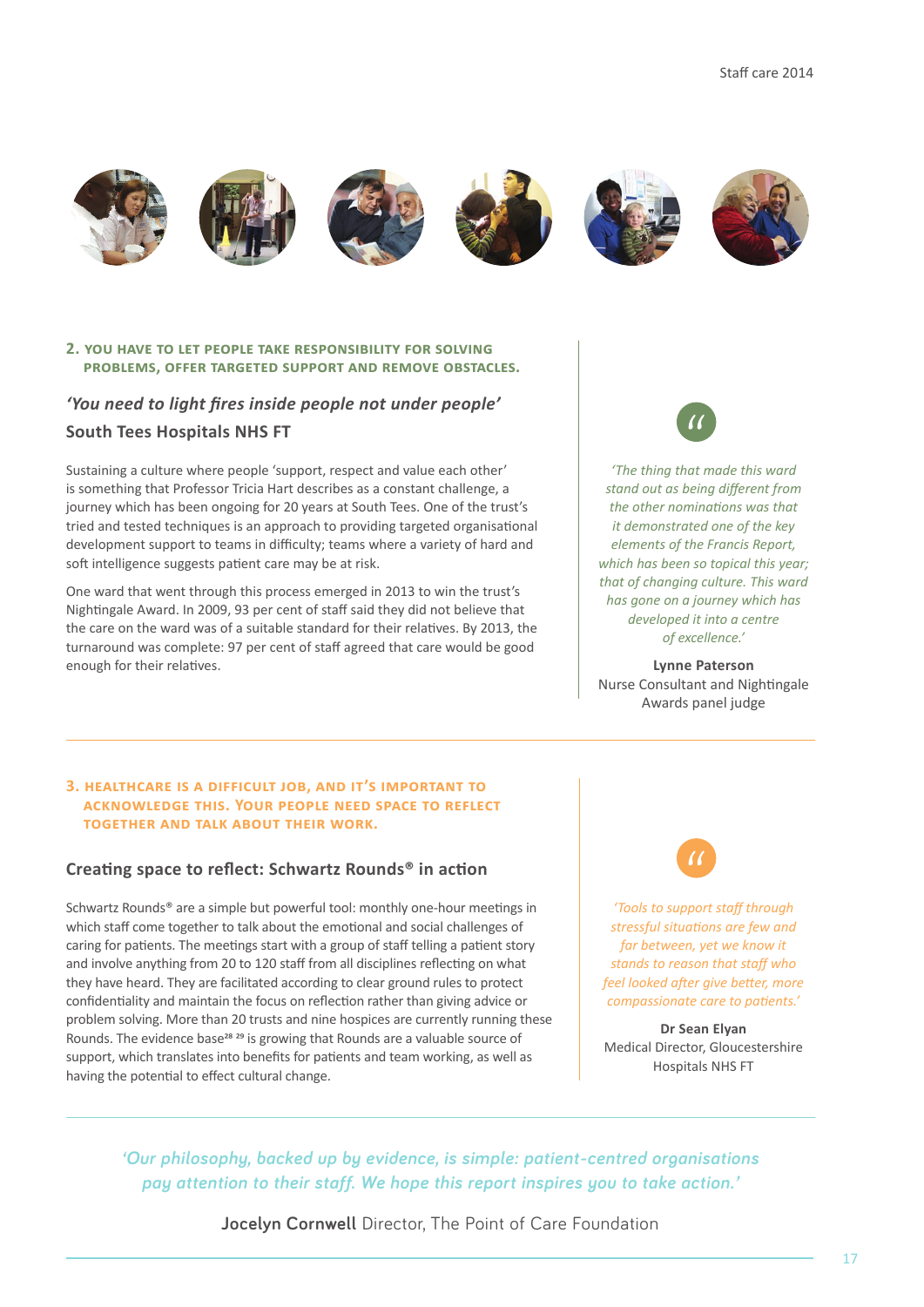











#### **2. you have to let people take responsibility for solving problems, offer targeted support and remove obstacles.**

# *'You need to light fires inside people not under people'*  **South Tees Hospitals NHS FT**

Sustaining a culture where people 'support, respect and value each other' is something that Professor Tricia Hart describes as a constant challenge, a journey which has been ongoing for 20 years at South Tees. One of the trust's tried and tested techniques is an approach to providing targeted organisational development support to teams in difficulty; teams where a variety of hard and soft intelligence suggests patient care may be at risk.

One ward that went through this process emerged in 2013 to win the trust's Nightingale Award. In 2009, 93 per cent of staff said they did not believe that the care on the ward was of a suitable standard for their relatives. By 2013, the turnaround was complete: 97 per cent of staff agreed that care would be good enough for their relatives.

*'The thing that made this ward stand out as being different from the other nominations was that it demonstrated one of the key elements of the Francis Report, which has been so topical this year; that of changing culture. This ward has gone on a journey which has developed it into a centre of excellence.'*

**Lynne Paterson**  Nurse Consultant and Nightingale Awards panel judge

#### **3. healthcare is a difficult job, and it's important to acknowledge this. Your people need space to reflect together and talk about their work.**

### **Creating space to reflect: Schwartz Rounds® in action**

Schwartz Rounds® are a simple but powerful tool: monthly one-hour meetings in which staff come together to talk about the emotional and social challenges of caring for patients. The meetings start with a group of staff telling a patient story and involve anything from 20 to 120 staff from all disciplines reflecting on what they have heard. They are facilitated according to clear ground rules to protect confidentiality and maintain the focus on reflection rather than giving advice or problem solving. More than 20 trusts and nine hospices are currently running these Rounds. The evidence base<sup>28</sup> <sup>29</sup> is growing that Rounds are a valuable source of support, which translates into benefits for patients and team working, as well as having the potential to effect cultural change.



*'Tools to support staff through stressful situations are few and far between, yet we know it stands to reason that staff who feel looked after give better, more compassionate care to patients.'*

**Dr Sean Elyan**  Medical Director, Gloucestershire Hospitals NHS FT

*'Our philosophy, backed up by evidence, is simple: patient-centred organisations pay attention to their staff. We hope this report inspires you to take action.'* 

**Jocelyn Cornwell** Director, The Point of Care Foundation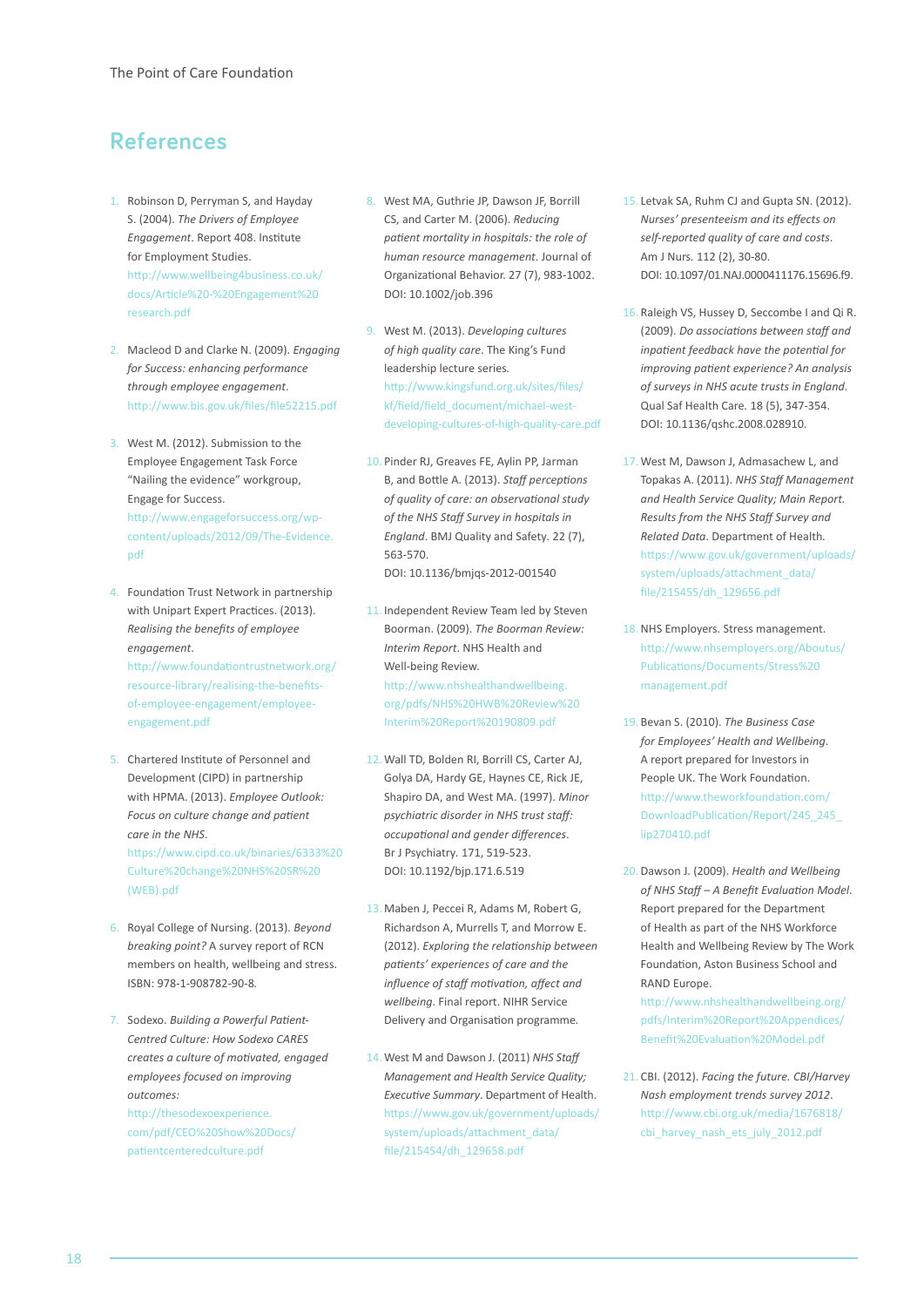# **References**

- 1. Robinson D, Perryman S, and Hayday S. (2004). *The Drivers of Employee Engagement*. Report 408. Institute for Employment Studies. [http://www.wellbeing4business.co.uk/](http://www.wellbeing4business.co.uk/docs/Article%20-%20Engagement%20research.pdf) docs/Article%20-%20Engagement%20 research.pdf
- 2. Macleod D and Clarke N. (2009). *Engaging for Success: enhancing performance through employee engagement*. http://www.bis.gov.uk/files/file52215.pdf
- 3. West M. (2012). Submission to the Employee Engagement Task Force "Nailing the evidence" workgroup, Engage for Success. http://www.engageforsuccess.org/wp[content/uploads/2012/09/The-Evidence.](http://www.engageforsuccess.org/wp-content/uploads/2012/09/The-Evidence.pdf) pdf
- 4. Foundation Trust Network in partnership with Unipart Expert Practices. (2013). *Realising the benefits of employee engagement*. [http://www.foundationtrustnetwork.org/](http://www.foundationtrustnetwork.org/resource-library/realising-the-benefits-of-employee-engagement/employee-engagement.pdf) resource-library/realising-the-benefitsof-employee-engagement/employeeengagement.pdf
- 5. Chartered Institute of Personnel and Development (CIPD) in partnership with HPMA. (2013). *Employee Outlook: Focus on culture change and patient care in the NHS*. [https://www.cipd.co.uk/binaries/6333%20](https://www.cipd.co.uk/binaries/6333%20Culture%20change%20NHS%20SR%20(WEB).pdf) Culture%20change%20NHS%20SR%20 (WEB).pdf
- 6. Royal College of Nursing. (2013). *Beyond breaking point?* A survey report of RCN members on health, wellbeing and stress. ISBN: 978-1-908782-90-8*.*
- 7. Sodexo. *Building a Powerful Patient-Centred Culture: How Sodexo CARES creates a culture of motivated, engaged employees focused on improving outcomes:*

http://thesodexoexperience. [com/pdf/CEO%20Show%20Docs/](http://thesodexoexperience.com/pdf/CEO%20Show%20Docs/patientcenteredculture.pdf) patientcenteredculture.pdf

- 8. West MA, Guthrie JP, Dawson JF, Borrill CS, and Carter M. (2006). *Reducing patient mortality in hospitals: the role of human resource management*. Journal of Organizational Behavior. 27 (7), 983-1002. DOI: 10.1002/job.396
- 9. West M. (2013). *Developing cultures of high quality care*. The King's Fund leadership lecture series*.* http://www.kingsfund.org.uk/sites/files/ kf/field/field\_document/michael-west[developing-cultures-of-high-quality-care.pdf](http://www.kingsfund.org.uk/sites/files/kf/field/field_document/michael-west-developing-cultures-of-high-quality-care.pdf)
- 10. Pinder RJ, Greaves FE, Aylin PP, Jarman B, and Bottle A. (2013). *Staff perceptions of quality of care: an observational study of the NHS Staff Survey in hospitals in England*. BMJ Quality and Safety*.* 22 (7), 563-570. DOI: 10.1136/bmjqs-2012-001540
- 11. Independent Review Team led by Steven Boorman. (2009). *The Boorman Review: Interim Report*. NHS Health and Well-being Review*.* http://www.nhshealthandwellbeing. [org/pdfs/NHS%20HWB%20Review%20](http://www.nhshealthandwellbeing.org/pdfs/NHS%20HWB%20Review%20Interim%20Report%20190809.pdf) Interim%20Report%20190809.pdf
- 12. Wall TD, Bolden RI, Borrill CS, Carter AJ, Golya DA, Hardy GE, Haynes CE, Rick JE, Shapiro DA, and West MA. (1997). *Minor psychiatric disorder in NHS trust staff: occupational and gender differences*. Br J Psychiatry*.* 171, 519-523. DOI: 10.1192/bjp.171.6.519
- 13. Maben J, Peccei R, Adams M, Robert G, Richardson A, Murrells T, and Morrow E. (2012). *Exploring the relationship between patients' experiences of care and the influence of staff motivation, affect and wellbeing*. Final report. NIHR Service Delivery and Organisation programme*.*
- 14. West M and Dawson J. (2011) *NHS Staff Management and Health Service Quality; Executive Summary*. Department of Health. [https://www.gov.uk/government/uploads/](https://www.gov.uk/government/uploads/system/uploads/attachment_data/file/215454/dh_129658.pdf) system/uploads/attachment\_data/ file/215454/dh\_129658.pdf
- 15. Letvak SA, Ruhm CJ and Gupta SN. (2012). *Nurses' presenteeism and its effects on self-reported quality of care and costs*. Am J Nurs*.* 112 (2), 30-80. DOI: 10.1097/01.NAJ.0000411176.15696.f9.
- 16. Raleigh VS, Hussey D, Seccombe I and Qi R. (2009). *Do associations between staff and inpatient feedback have the potential for improving patient experience? An analysis of surveys in NHS acute trusts in England*. Qual Saf Health Care*.* 18 (5), 347-354. DOI: 10.1136/qshc.2008.028910.
- 17. West M, Dawson J, Admasachew L, and Topakas A. (2011). *NHS Staff Management and Health Service Quality; Main Report. Results from the NHS Staff Survey and Related Data*. Department of Health*.* [https://www.gov.uk/government/uploads/](https://www.gov.uk/government/uploads/system/uploads/attachment_data/file/215455/dh_129656.pdf) system/uploads/attachment\_data/ file/215455/dh\_129656.pdf
- 18.NHS Employers. Stress management. [http://www.nhsemployers.org/Aboutus/](http://www.nhsemployers.org/Aboutus/Publications/Documents/Stress%20management.pdf) Publications/Documents/Stress%20 management.pdf
- 19. Bevan S. (2010). *The Business Case for Employees' Health and Wellbeing*. A report prepared for Investors in People UK. The Work Foundation. http://www.theworkfoundation.com/ [DownloadPublication/Report/245\\_245\\_](http://www.theworkfoundation.com/DownloadPublication/Report/245_245_iip270410.pdf) iip270410.pdf
- 20.Dawson J. (2009). *Health and Wellbeing of NHS Staff – A Benefit Evaluation Model*. Report prepared for the Department of Health as part of the NHS Workforce Health and Wellbeing Review by The Work Foundation, Aston Business School and RAND Europe.

[http://www.nhshealthandwellbeing.org/](http://www.nhshealthandwellbeing.org/pdfs/Interim%20Report%20Appendices/Benefit%20Evaluation%20Model.pdf) pdfs/Interim%20Report%20Appendices/ Benefit%20Evaluation%20Model.pdf

21. CBI. (2012). *Facing the future. CBI/Harvey Nash employment trends survey 2012*. [http://www.cbi.org.uk/media/1676818/](http://www.cbi.org.uk/media/1676818/cbi_harvey_nash_ets_july_2012.pdf) cbi harvey nash ets july 2012.pdf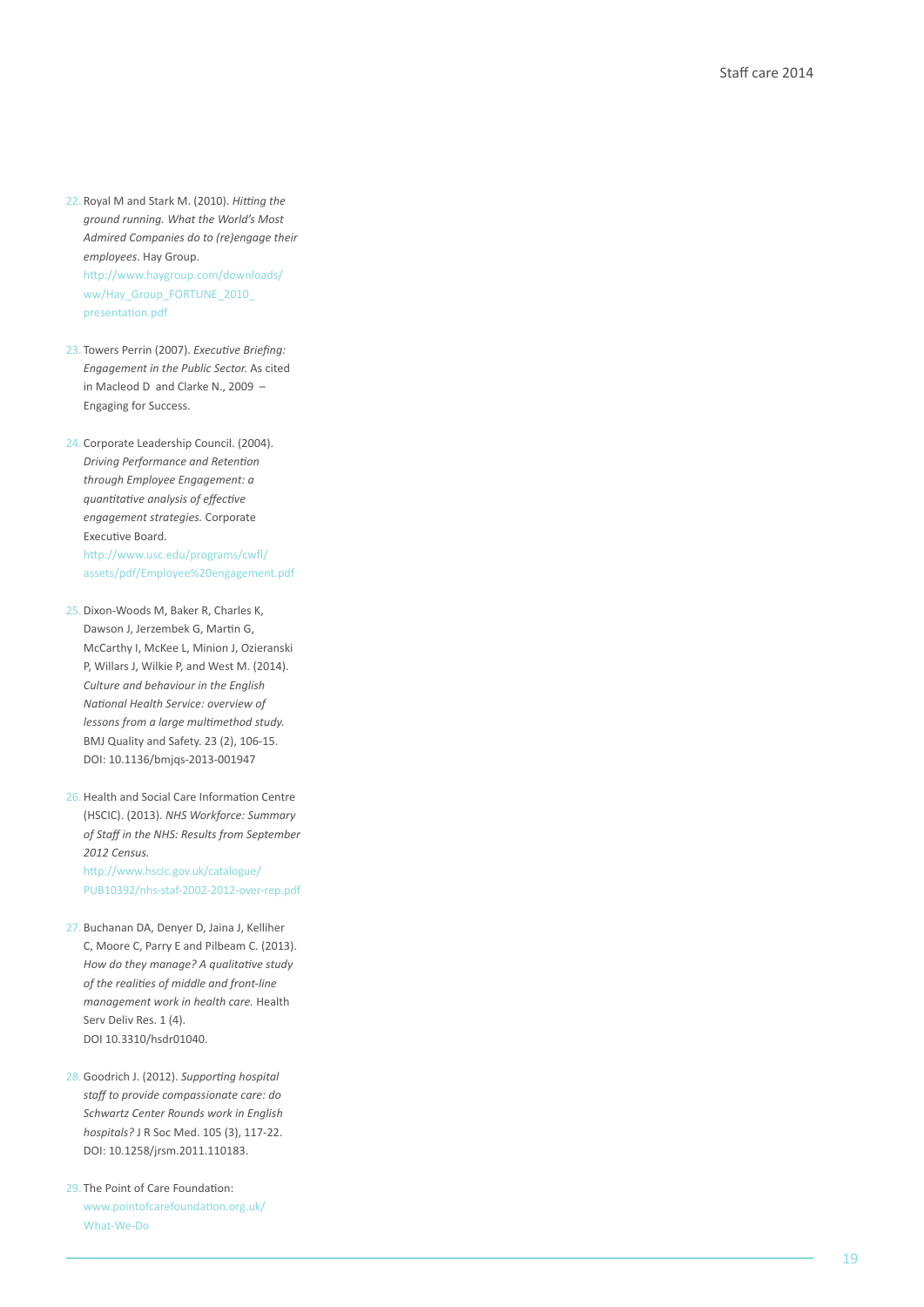- 22. Royal M and Stark M. (2010). *Hitting the ground running. What the World's Most Admired Companies do to (re)engage their employees* . Hay Group. [http://www.haygroup.com/downloads/](http://www.haygroup.com/downloads/ww/Hay_Group_FORTUNE_2010_presentation.pdf) ww/Hay\_Group\_FORTUNE\_2010\_ presentation.pdf
- 23. Towers Perrin (2007). *Executive Briefing: Engagement in the Public Sector.* As cited in Macleod D and Clarke N., 2009 – Engaging for Success.
- 24. Corporate Leadership Council. (2004). *Driving Performance and Retention through Employee Engagement: a quantitative analysis of effective engagement strategies.* Corporate Executive Board.

http://www.usc.edu/programs/cwfl/ [assets/pdf/Employee%20engagement.pdf](http://www.usc.edu/programs/cwfl/assets/pdf/Employee%20engagement.pdf)

- 25.Dixon-Woods M, Baker R, Charles K, Dawson J, Jerzembek G, Martin G, McCarthy I, McKee L, Minion J, Ozieranski P, Willars J, Wilkie P, and West M. (2014). *Culture and behaviour in the English National Health Service: overview of lessons from a large multimethod study.*  BMJ Quality and Safety. 23 (2), 106-15. DOI: 10.1136/bmjqs-2013-001947
- 26.Health and Social Care Information Centre (HSCIC). (2013). *NHS Workforce: Summary of Staff in the NHS: Results from September 2012 Census.* http://www.hscic.gov.uk/catalogue/ [PUB10392/nhs-staf-2002-2012-over-rep.pdf](http://www.hscic.gov.uk/catalogue/PUB10392/nhs-staf-2002-2012-over-rep.pdf)
- 27. Buchanan DA, Denyer D, Jaina J, Kelliher C, Moore C, Parry E and Pilbeam C. (2013). *How do they manage? A qualitative study of the realities of middle and front-line management work in health care.* Health Serv Deliv Res. 1 (4). DOI 10.3310/hsdr01040.
- 28.Goodrich J. (2012). *Supporting hospital staff to provide compassionate care: do Schwartz Center Rounds work in English hospitals?* J R Soc Med. 105 (3), 117-22. DOI: 10.1258/jrsm.2011.110183.
- 29. The Point of Care Foundation: [www.pointofcarefoundation.org.uk/](www.pointofcarefoundation.org.uk/What-We-Do) What-We-Do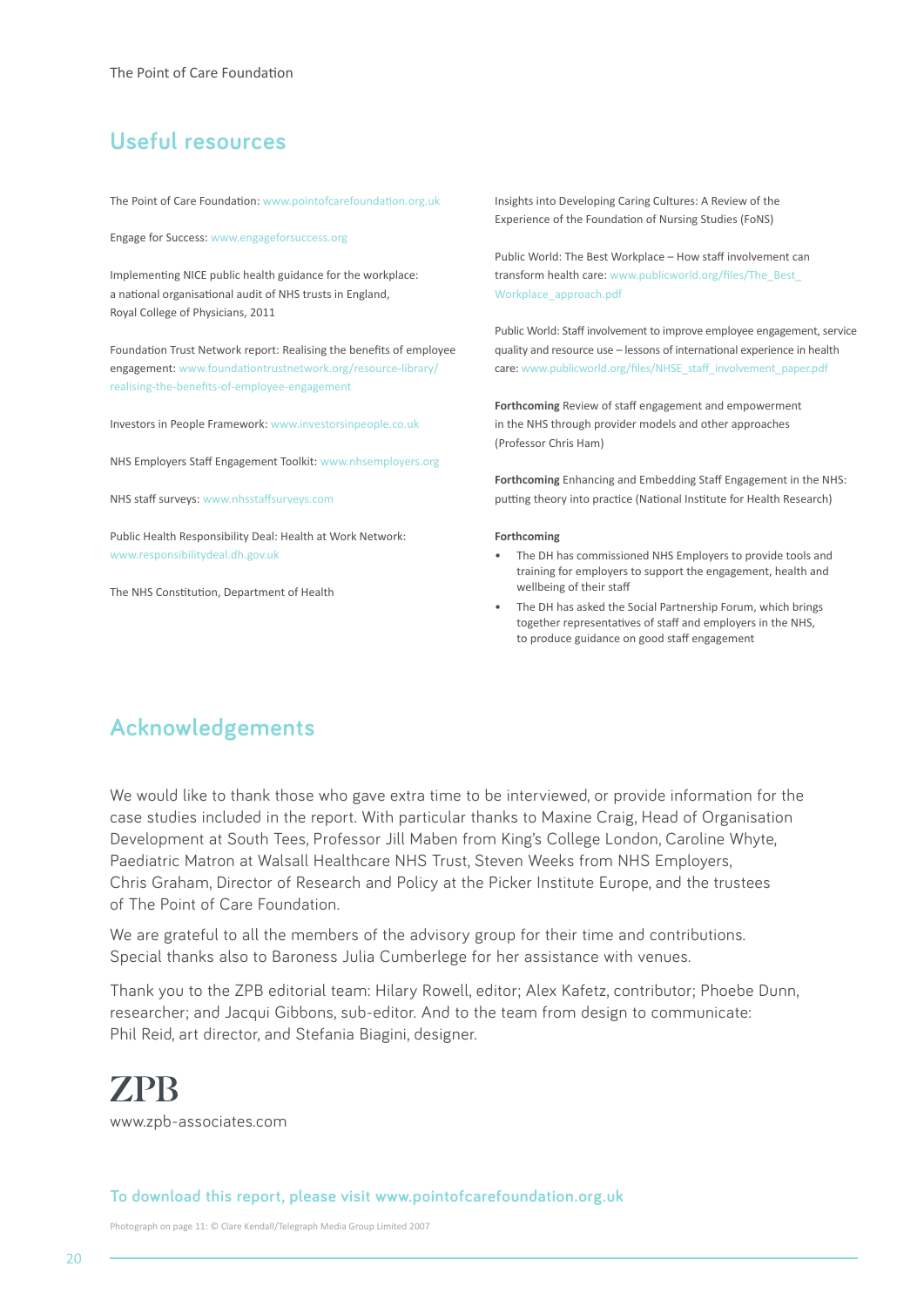# **Useful resources**

The Point of Care Foundation: www.pointofcarefoundation.org.uk

Engage for Success: www.engageforsuccess.org

Implementing NICE public health guidance for the workplace: a national organisational audit of NHS trusts in England, Royal College of Physicians, 2011

Foundation Trust Network report: Realising the benefits of employee [engagement: www.foundationtrustnetwork.org/resource-library/](www.foundationtrustnetwork.org/resource-library/realising-the-benefits-of-employee-engagement) realising-the-benefits-of-employee-engagement

Investors in People Framework: www.investorsinpeople.co.uk

NHS Employers Staff Engagement Toolkit: www.nhsemployers.org

NHS staff surveys: www.nhsstaffsurveys.com

Public Health Responsibility Deal: Health at Work Network: www.responsibilitydeal.dh.gov.uk

The NHS Constitution, Department of Health

Insights into Developing Caring Cultures: A Review of the Experience of the Foundation of Nursing Studies (FoNS)

Public World: The Best Workplace – How staff involvement can [transform health care: www.publicworld.org/files/The\\_Best\\_](www.publicworld.org/files/The_Best_Workplace_approach.pdf) Workplace\_approach.pdf

Public World: Staff involvement to improve employee engagement, service quality and resource use – lessons of international experience in health care: www.publicworld.org/files/NHSE\_staff\_involvement\_paper.pdf

**Forthcoming** Review of staff engagement and empowerment in the NHS through provider models and other approaches (Professor Chris Ham)

**Forthcoming** Enhancing and Embedding Staff Engagement in the NHS: putting theory into practice (National Institute for Health Research)

#### **Forthcoming**

- The DH has commissioned NHS Employers to provide tools and training for employers to support the engagement, health and wellbeing of their staff
- The DH has asked the Social Partnership Forum, which brings together representatives of staff and employers in the NHS, to produce guidance on good staff engagement

# **Acknowledgements**

We would like to thank those who gave extra time to be interviewed, or provide information for the case studies included in the report. With particular thanks to Maxine Craig, Head of Organisation Development at South Tees, Professor Jill Maben from King's College London, Caroline Whyte, Paediatric Matron at Walsall Healthcare NHS Trust, Steven Weeks from NHS Employers, Chris Graham, Director of Research and Policy at the Picker Institute Europe, and the trustees of The Point of Care Foundation.

We are grateful to all the members of the advisory group for their time and contributions. Special thanks also to Baroness Julia Cumberlege for her assistance with venues.

Thank you to the ZPB editorial team: Hilary Rowell, editor; Alex Kafetz, contributor; Phoebe Dunn, researcher; and Jacqui Gibbons, sub-editor. And to the team from design to communicate: Phil Reid, art director, and Stefania Biagini, designer.

# **ZPB**

www.zpb-associates.com

#### **To download this report, please visit www.pointofcarefoundation.org.uk**

Photograph on page 11: © Clare Kendall/Telegraph Media Group Limited 2007